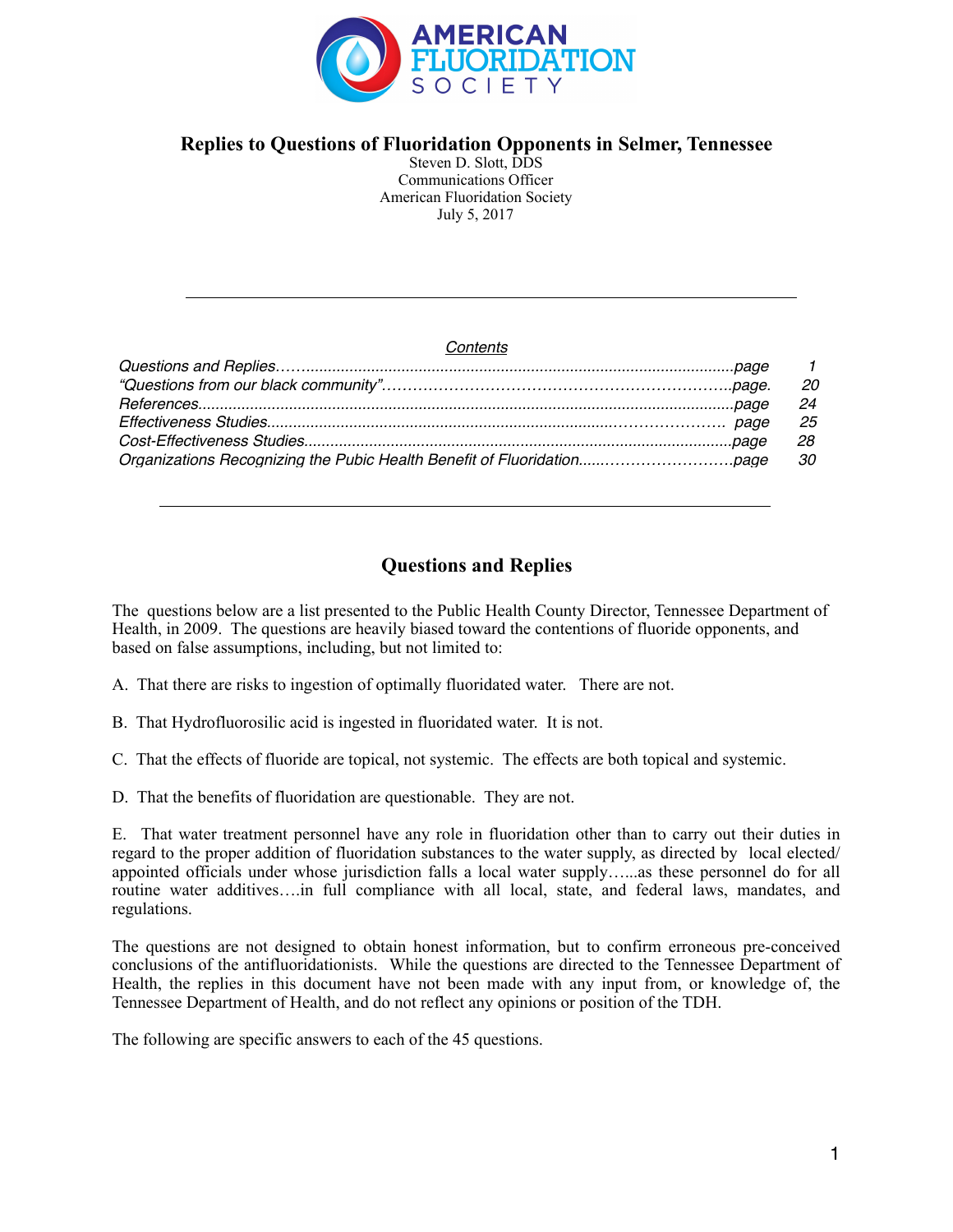

# **Replies to Questions of Fluoridation Opponents in Selmer, Tennessee**

Steven D. Slott, DDS Communications Officer American Fluoridation Society July 5, 2017

#### *Contents*

| $\overline{1}$ |
|----------------|
| -20            |
| - 24           |
| -25            |
| 28             |
| - 30           |

# **Questions and Replies**

The questions below are a list presented to the Public Health County Director, Tennessee Department of Health, in 2009. The questions are heavily biased toward the contentions of fluoride opponents, and based on false assumptions, including, but not limited to:

- A. That there are risks to ingestion of optimally fluoridated water. There are not.
- B. That Hydrofluorosilic acid is ingested in fluoridated water. It is not.
- C. That the effects of fluoride are topical, not systemic. The effects are both topical and systemic.

D. That the benefits of fluoridation are questionable. They are not.

E. That water treatment personnel have any role in fluoridation other than to carry out their duties in regard to the proper addition of fluoridation substances to the water supply, as directed by local elected/ appointed officials under whose jurisdiction falls a local water supply…...as these personnel do for all routine water additives….in full compliance with all local, state, and federal laws, mandates, and regulations.

The questions are not designed to obtain honest information, but to confirm erroneous pre-conceived conclusions of the antifluoridationists. While the questions are directed to the Tennessee Department of Health, the replies in this document have not been made with any input from, or knowledge of, the Tennessee Department of Health, and do not reflect any opinions or position of the TDH.

The following are specific answers to each of the 45 questions.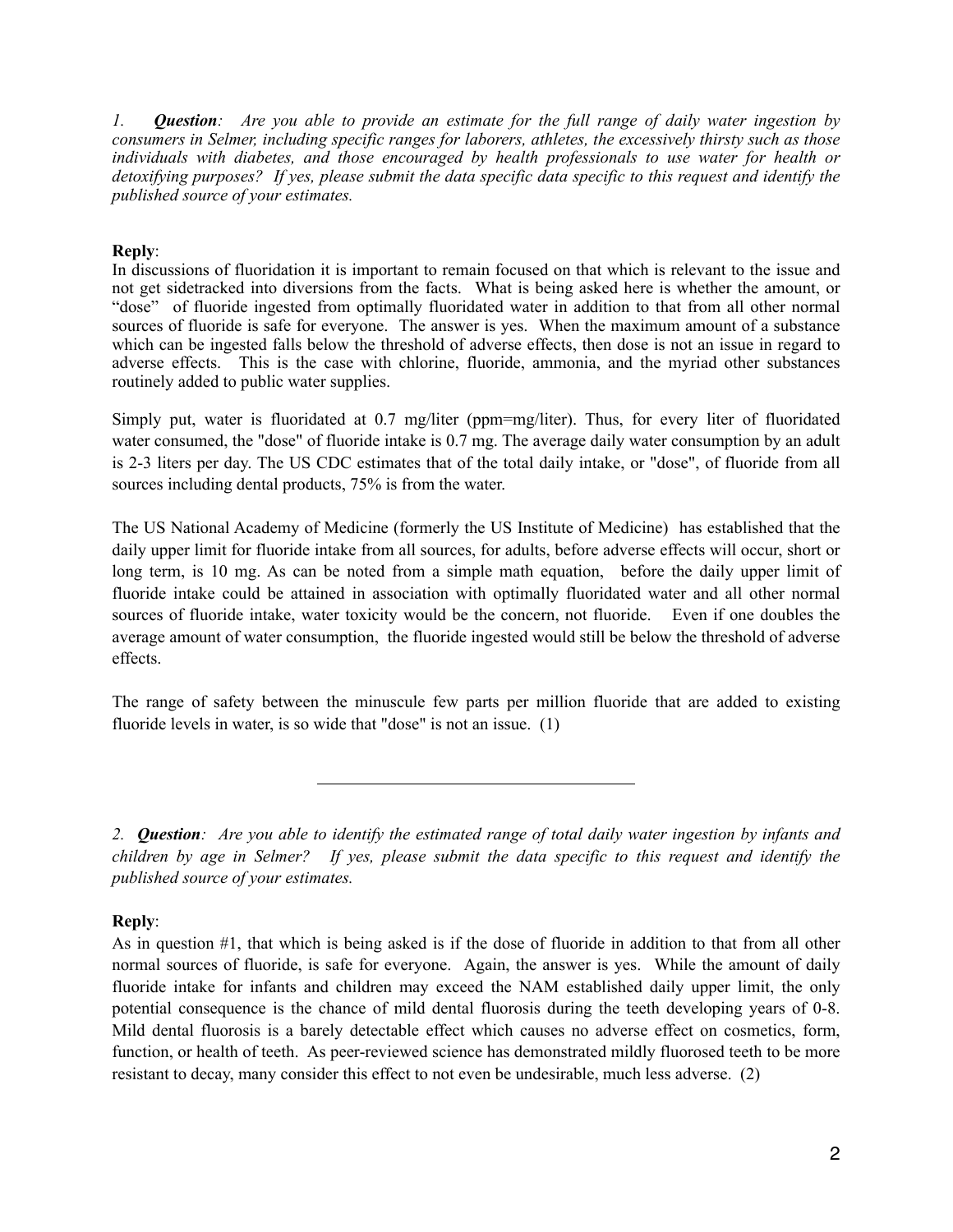*1. Question: Are you able to provide an estimate for the full range of daily water ingestion by consumers in Selmer, including specific ranges for laborers, athletes, the excessively thirsty such as those individuals with diabetes, and those encouraged by health professionals to use water for health or detoxifying purposes? If yes, please submit the data specific data specific to this request and identify the published source of your estimates.* 

## **Reply**:

In discussions of fluoridation it is important to remain focused on that which is relevant to the issue and not get sidetracked into diversions from the facts. What is being asked here is whether the amount, or "dose" of fluoride ingested from optimally fluoridated water in addition to that from all other normal sources of fluoride is safe for everyone. The answer is yes. When the maximum amount of a substance which can be ingested falls below the threshold of adverse effects, then dose is not an issue in regard to adverse effects. This is the case with chlorine, fluoride, ammonia, and the myriad other substances routinely added to public water supplies.

Simply put, water is fluoridated at 0.7 mg/liter (ppm=mg/liter). Thus, for every liter of fluoridated water consumed, the "dose" of fluoride intake is 0.7 mg. The average daily water consumption by an adult is 2-3 liters per day. The US CDC estimates that of the total daily intake, or "dose", of fluoride from all sources including dental products, 75% is from the water.

The US National Academy of Medicine (formerly the US Institute of Medicine) has established that the daily upper limit for fluoride intake from all sources, for adults, before adverse effects will occur, short or long term, is 10 mg. As can be noted from a simple math equation, before the daily upper limit of fluoride intake could be attained in association with optimally fluoridated water and all other normal sources of fluoride intake, water toxicity would be the concern, not fluoride. Even if one doubles the average amount of water consumption, the fluoride ingested would still be below the threshold of adverse effects.

The range of safety between the minuscule few parts per million fluoride that are added to existing fluoride levels in water, is so wide that "dose" is not an issue. (1)

*2. Question: Are you able to identify the estimated range of total daily water ingestion by infants and children by age in Selmer? If yes, please submit the data specific to this request and identify the published source of your estimates.* 

# **Reply**:

As in question #1, that which is being asked is if the dose of fluoride in addition to that from all other normal sources of fluoride, is safe for everyone. Again, the answer is yes. While the amount of daily fluoride intake for infants and children may exceed the NAM established daily upper limit, the only potential consequence is the chance of mild dental fluorosis during the teeth developing years of 0-8. Mild dental fluorosis is a barely detectable effect which causes no adverse effect on cosmetics, form, function, or health of teeth. As peer-reviewed science has demonstrated mildly fluorosed teeth to be more resistant to decay, many consider this effect to not even be undesirable, much less adverse. (2)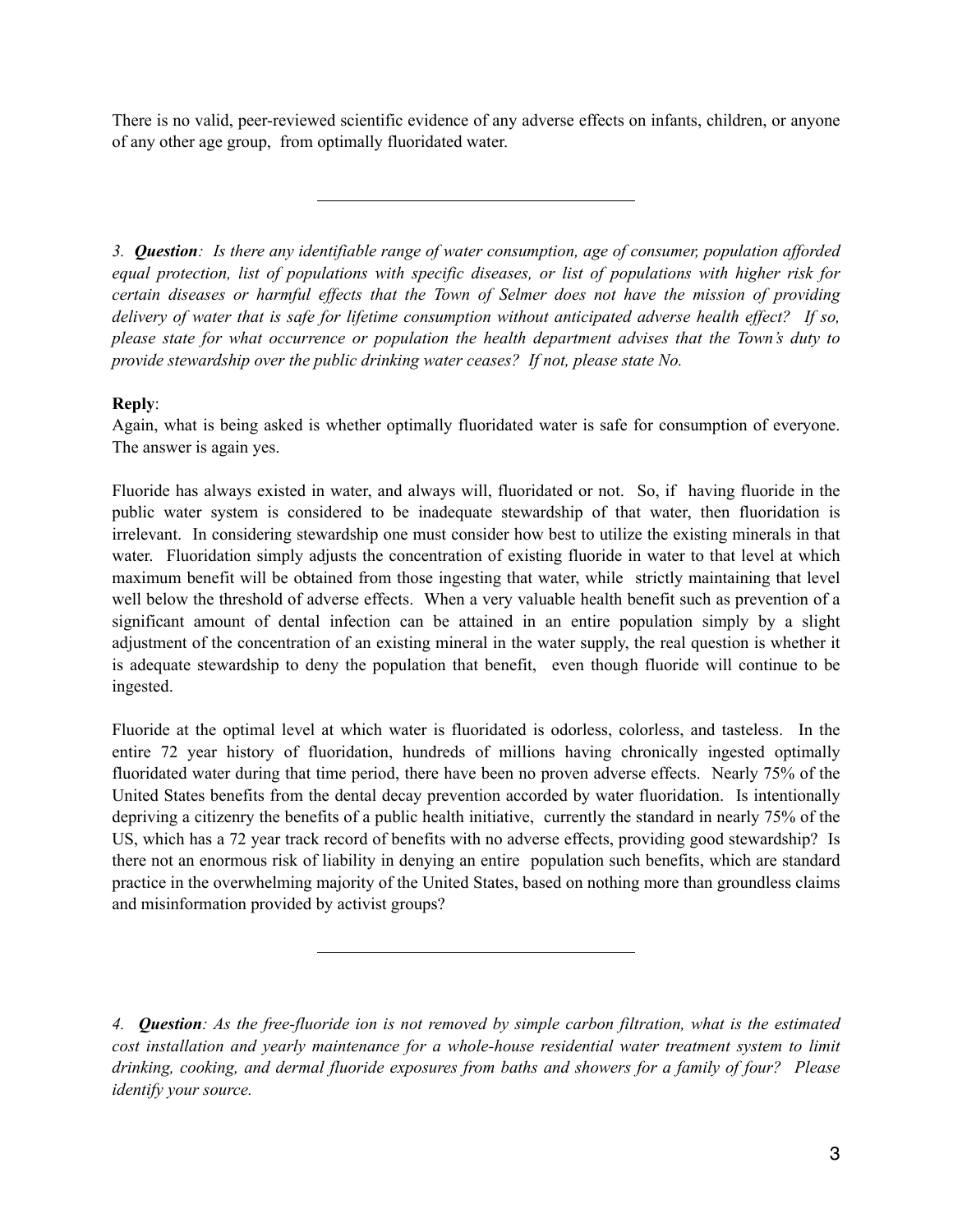There is no valid, peer-reviewed scientific evidence of any adverse effects on infants, children, or anyone of any other age group, from optimally fluoridated water.

*3. Question: Is there any identifiable range of water consumption, age of consumer, population afforded equal protection, list of populations with specific diseases, or list of populations with higher risk for certain diseases or harmful effects that the Town of Selmer does not have the mission of providing delivery of water that is safe for lifetime consumption without anticipated adverse health effect? If so, please state for what occurrence or population the health department advises that the Town's duty to provide stewardship over the public drinking water ceases? If not, please state No.* 

# **Reply**:

Again, what is being asked is whether optimally fluoridated water is safe for consumption of everyone. The answer is again yes.

Fluoride has always existed in water, and always will, fluoridated or not. So, if having fluoride in the public water system is considered to be inadequate stewardship of that water, then fluoridation is irrelevant. In considering stewardship one must consider how best to utilize the existing minerals in that water. Fluoridation simply adjusts the concentration of existing fluoride in water to that level at which maximum benefit will be obtained from those ingesting that water, while strictly maintaining that level well below the threshold of adverse effects. When a very valuable health benefit such as prevention of a significant amount of dental infection can be attained in an entire population simply by a slight adjustment of the concentration of an existing mineral in the water supply, the real question is whether it is adequate stewardship to deny the population that benefit, even though fluoride will continue to be ingested.

Fluoride at the optimal level at which water is fluoridated is odorless, colorless, and tasteless. In the entire 72 year history of fluoridation, hundreds of millions having chronically ingested optimally fluoridated water during that time period, there have been no proven adverse effects. Nearly 75% of the United States benefits from the dental decay prevention accorded by water fluoridation. Is intentionally depriving a citizenry the benefits of a public health initiative, currently the standard in nearly 75% of the US, which has a 72 year track record of benefits with no adverse effects, providing good stewardship? Is there not an enormous risk of liability in denying an entire population such benefits, which are standard practice in the overwhelming majority of the United States, based on nothing more than groundless claims and misinformation provided by activist groups?

*<sup>4.</sup> Question: As the free-fluoride ion is not removed by simple carbon filtration, what is the estimated cost installation and yearly maintenance for a whole-house residential water treatment system to limit drinking, cooking, and dermal fluoride exposures from baths and showers for a family of four? Please identify your source.*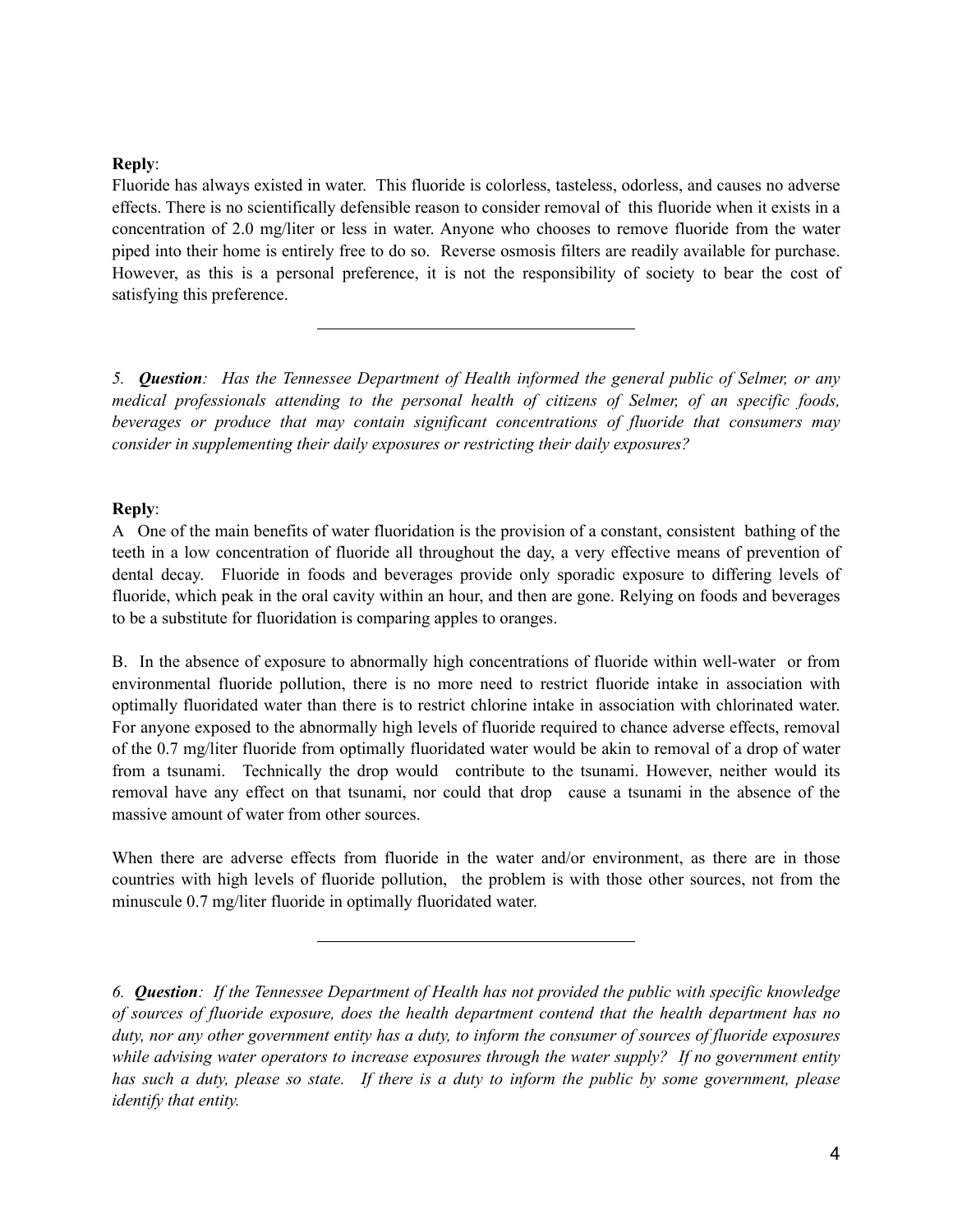## **Reply**:

Fluoride has always existed in water. This fluoride is colorless, tasteless, odorless, and causes no adverse effects. There is no scientifically defensible reason to consider removal of this fluoride when it exists in a concentration of 2.0 mg/liter or less in water. Anyone who chooses to remove fluoride from the water piped into their home is entirely free to do so. Reverse osmosis filters are readily available for purchase. However, as this is a personal preference, it is not the responsibility of society to bear the cost of satisfying this preference.

*5. Question: Has the Tennessee Department of Health informed the general public of Selmer, or any medical professionals attending to the personal health of citizens of Selmer, of an specific foods, beverages or produce that may contain significant concentrations of fluoride that consumers may consider in supplementing their daily exposures or restricting their daily exposures?* 

## **Reply**:

A One of the main benefits of water fluoridation is the provision of a constant, consistent bathing of the teeth in a low concentration of fluoride all throughout the day, a very effective means of prevention of dental decay. Fluoride in foods and beverages provide only sporadic exposure to differing levels of fluoride, which peak in the oral cavity within an hour, and then are gone. Relying on foods and beverages to be a substitute for fluoridation is comparing apples to oranges.

B. In the absence of exposure to abnormally high concentrations of fluoride within well-water or from environmental fluoride pollution, there is no more need to restrict fluoride intake in association with optimally fluoridated water than there is to restrict chlorine intake in association with chlorinated water. For anyone exposed to the abnormally high levels of fluoride required to chance adverse effects, removal of the 0.7 mg/liter fluoride from optimally fluoridated water would be akin to removal of a drop of water from a tsunami. Technically the drop would contribute to the tsunami. However, neither would its removal have any effect on that tsunami, nor could that drop cause a tsunami in the absence of the massive amount of water from other sources.

When there are adverse effects from fluoride in the water and/or environment, as there are in those countries with high levels of fluoride pollution, the problem is with those other sources, not from the minuscule 0.7 mg/liter fluoride in optimally fluoridated water.

*<sup>6.</sup> Question: If the Tennessee Department of Health has not provided the public with specific knowledge of sources of fluoride exposure, does the health department contend that the health department has no duty, nor any other government entity has a duty, to inform the consumer of sources of fluoride exposures while advising water operators to increase exposures through the water supply? If no government entity has such a duty, please so state. If there is a duty to inform the public by some government, please identify that entity.*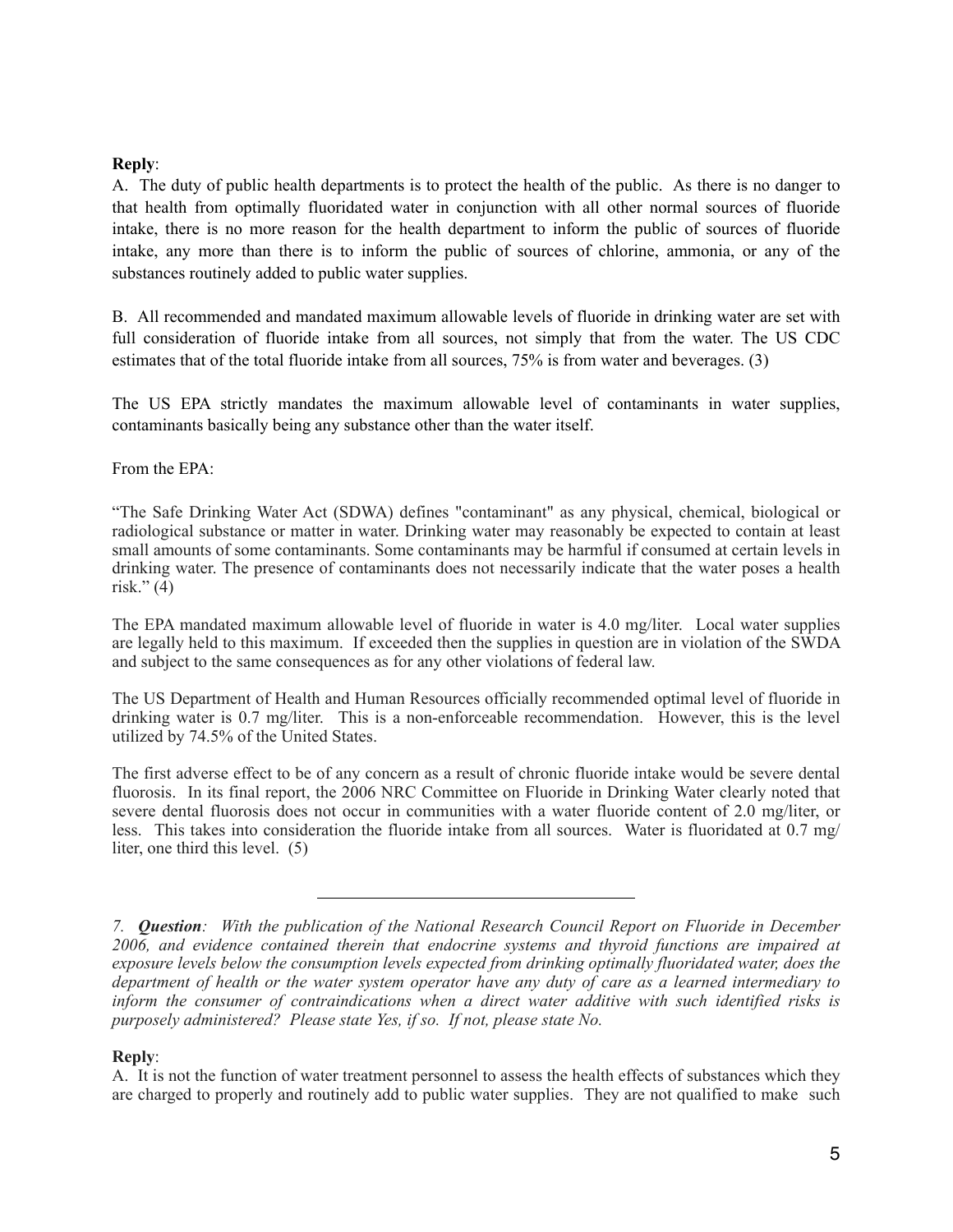## **Reply**:

A. The duty of public health departments is to protect the health of the public. As there is no danger to that health from optimally fluoridated water in conjunction with all other normal sources of fluoride intake, there is no more reason for the health department to inform the public of sources of fluoride intake, any more than there is to inform the public of sources of chlorine, ammonia, or any of the substances routinely added to public water supplies.

B. All recommended and mandated maximum allowable levels of fluoride in drinking water are set with full consideration of fluoride intake from all sources, not simply that from the water. The US CDC estimates that of the total fluoride intake from all sources, 75% is from water and beverages. (3)

The US EPA strictly mandates the maximum allowable level of contaminants in water supplies, contaminants basically being any substance other than the water itself.

From the EPA:

"The Safe Drinking Water Act (SDWA) defines "contaminant" as any physical, chemical, biological or radiological substance or matter in water. Drinking water may reasonably be expected to contain at least small amounts of some contaminants. Some contaminants may be harmful if consumed at certain levels in drinking water. The presence of contaminants does not necessarily indicate that the water poses a health risk." $(4)$ 

The EPA mandated maximum allowable level of fluoride in water is 4.0 mg/liter. Local water supplies are legally held to this maximum. If exceeded then the supplies in question are in violation of the SWDA and subject to the same consequences as for any other violations of federal law.

The US Department of Health and Human Resources officially recommended optimal level of fluoride in drinking water is 0.7 mg/liter. This is a non-enforceable recommendation. However, this is the level utilized by 74.5% of the United States.

The first adverse effect to be of any concern as a result of chronic fluoride intake would be severe dental fluorosis. In its final report, the 2006 NRC Committee on Fluoride in Drinking Water clearly noted that severe dental fluorosis does not occur in communities with a water fluoride content of 2.0 mg/liter, or less. This takes into consideration the fluoride intake from all sources. Water is fluoridated at 0.7 mg/ liter, one third this level. (5)

## **Reply**:

A. It is not the function of water treatment personnel to assess the health effects of substances which they are charged to properly and routinely add to public water supplies. They are not qualified to make such

*<sup>7.</sup> Question: With the publication of the National Research Council Report on Fluoride in December 2006, and evidence contained therein that endocrine systems and thyroid functions are impaired at exposure levels below the consumption levels expected from drinking optimally fluoridated water, does the department of health or the water system operator have any duty of care as a learned intermediary to inform the consumer of contraindications when a direct water additive with such identified risks is purposely administered? Please state Yes, if so. If not, please state No.*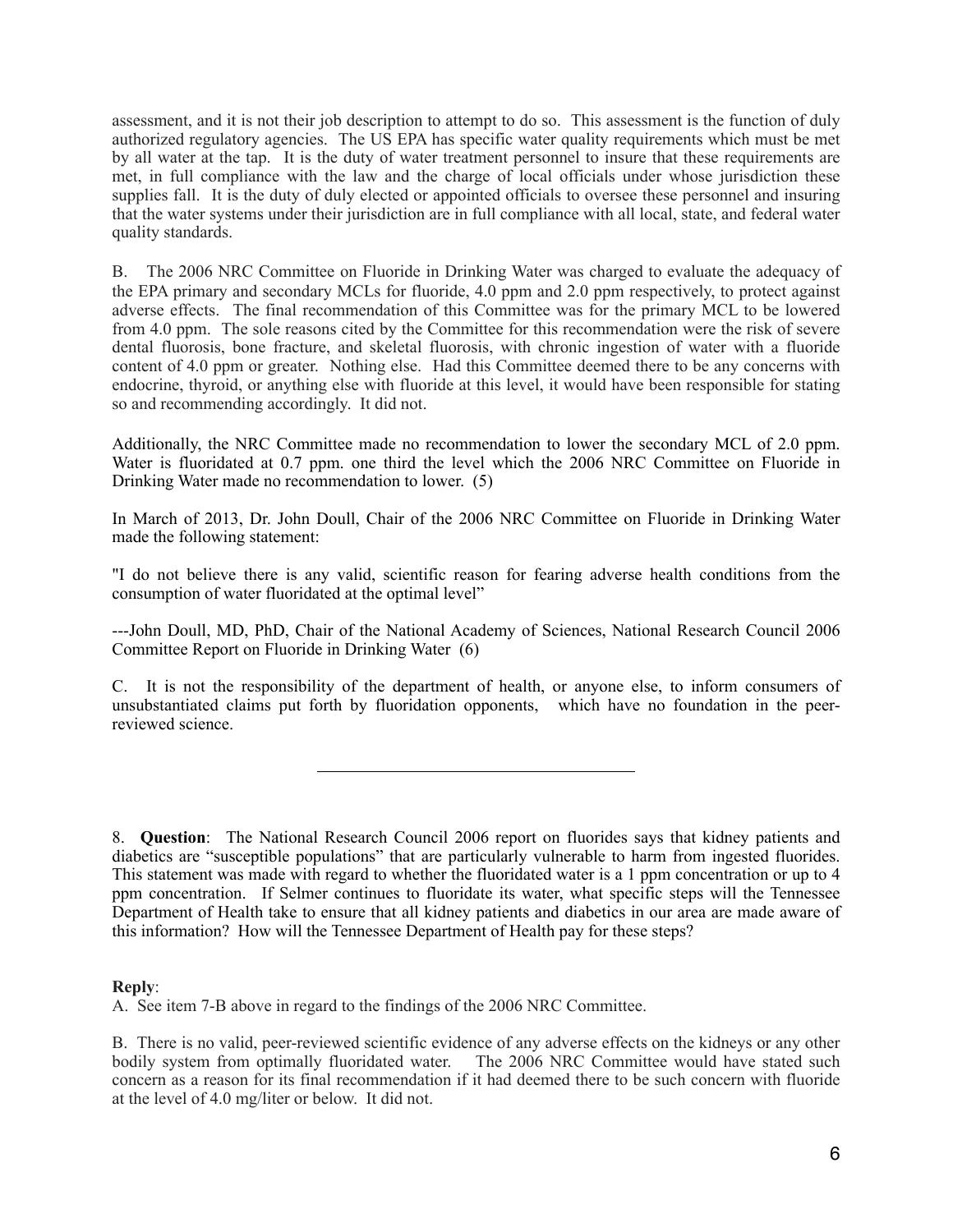assessment, and it is not their job description to attempt to do so. This assessment is the function of duly authorized regulatory agencies. The US EPA has specific water quality requirements which must be met by all water at the tap. It is the duty of water treatment personnel to insure that these requirements are met, in full compliance with the law and the charge of local officials under whose jurisdiction these supplies fall. It is the duty of duly elected or appointed officials to oversee these personnel and insuring that the water systems under their jurisdiction are in full compliance with all local, state, and federal water quality standards.

B. The 2006 NRC Committee on Fluoride in Drinking Water was charged to evaluate the adequacy of the EPA primary and secondary MCLs for fluoride, 4.0 ppm and 2.0 ppm respectively, to protect against adverse effects. The final recommendation of this Committee was for the primary MCL to be lowered from 4.0 ppm. The sole reasons cited by the Committee for this recommendation were the risk of severe dental fluorosis, bone fracture, and skeletal fluorosis, with chronic ingestion of water with a fluoride content of 4.0 ppm or greater. Nothing else. Had this Committee deemed there to be any concerns with endocrine, thyroid, or anything else with fluoride at this level, it would have been responsible for stating so and recommending accordingly. It did not.

Additionally, the NRC Committee made no recommendation to lower the secondary MCL of 2.0 ppm. Water is fluoridated at 0.7 ppm. one third the level which the 2006 NRC Committee on Fluoride in Drinking Water made no recommendation to lower. (5)

In March of 2013, Dr. John Doull, Chair of the 2006 NRC Committee on Fluoride in Drinking Water made the following statement:

"I do not believe there is any valid, scientific reason for fearing adverse health conditions from the consumption of water fluoridated at the optimal level"

---John Doull, MD, PhD, Chair of the National Academy of Sciences, National Research Council 2006 Committee Report on Fluoride in Drinking Water (6)

C. It is not the responsibility of the department of health, or anyone else, to inform consumers of unsubstantiated claims put forth by fluoridation opponents, which have no foundation in the peerreviewed science.

## **Reply**:

A. See item 7-B above in regard to the findings of the 2006 NRC Committee.

B. There is no valid, peer-reviewed scientific evidence of any adverse effects on the kidneys or any other bodily system from optimally fluoridated water. The 2006 NRC Committee would have stated such concern as a reason for its final recommendation if it had deemed there to be such concern with fluoride at the level of 4.0 mg/liter or below. It did not.

<sup>8.</sup> **Question**: The National Research Council 2006 report on fluorides says that kidney patients and diabetics are "susceptible populations" that are particularly vulnerable to harm from ingested fluorides. This statement was made with regard to whether the fluoridated water is a 1 ppm concentration or up to 4 ppm concentration. If Selmer continues to fluoridate its water, what specific steps will the Tennessee Department of Health take to ensure that all kidney patients and diabetics in our area are made aware of this information? How will the Tennessee Department of Health pay for these steps?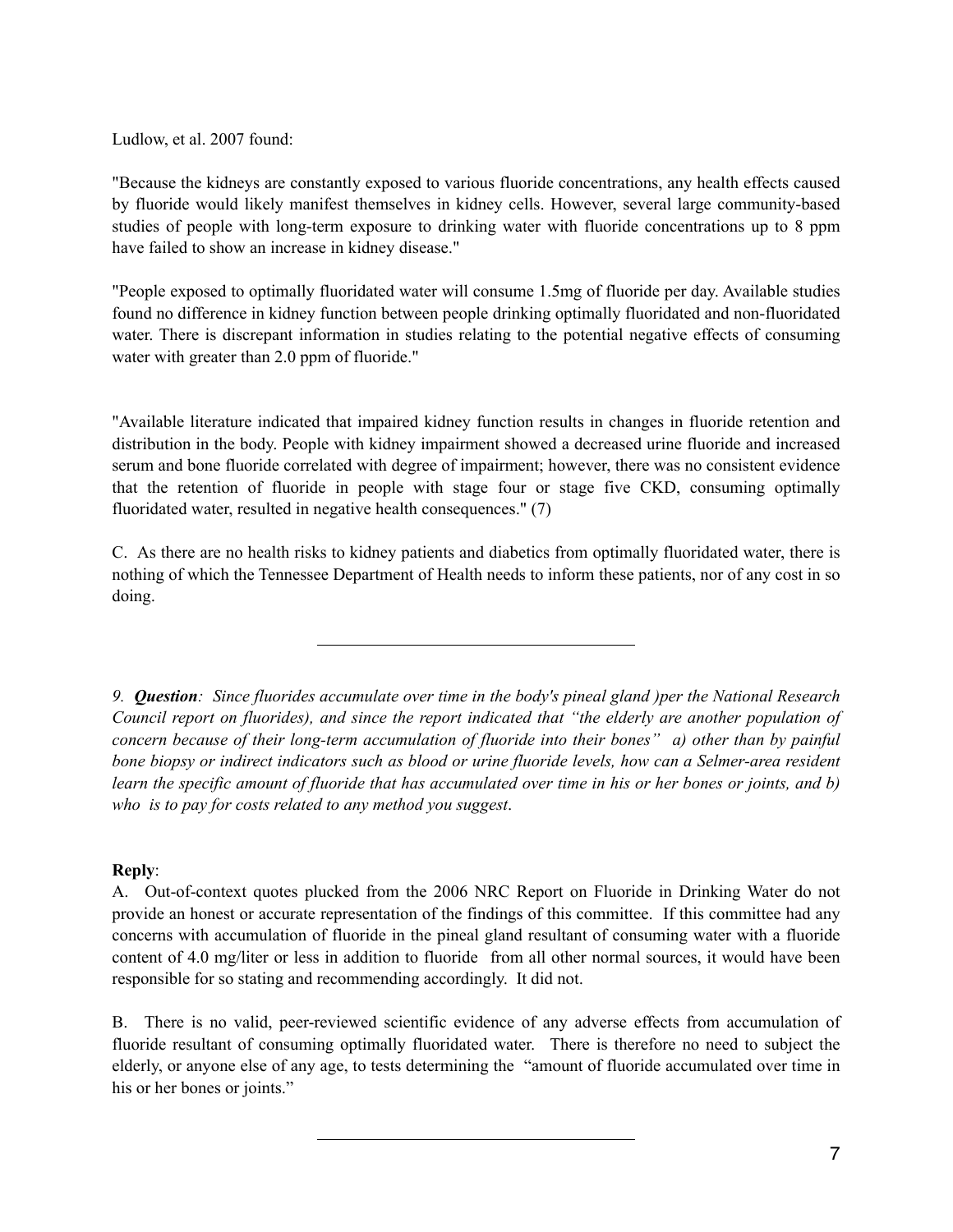Ludlow, et al. 2007 found:

"Because the kidneys are constantly exposed to various fluoride concentrations, any health effects caused by fluoride would likely manifest themselves in kidney cells. However, several large community-based studies of people with long-term exposure to drinking water with fluoride concentrations up to 8 ppm have failed to show an increase in kidney disease."

"People exposed to optimally fluoridated water will consume 1.5mg of fluoride per day. Available studies found no difference in kidney function between people drinking optimally fluoridated and non-fluoridated water. There is discrepant information in studies relating to the potential negative effects of consuming water with greater than 2.0 ppm of fluoride."

"Available literature indicated that impaired kidney function results in changes in fluoride retention and distribution in the body. People with kidney impairment showed a decreased urine fluoride and increased serum and bone fluoride correlated with degree of impairment; however, there was no consistent evidence that the retention of fluoride in people with stage four or stage five CKD, consuming optimally fluoridated water, resulted in negative health consequences." (7)

C. As there are no health risks to kidney patients and diabetics from optimally fluoridated water, there is nothing of which the Tennessee Department of Health needs to inform these patients, nor of any cost in so doing.

*9. Question: Since fluorides accumulate over time in the body's pineal gland )per the National Research Council report on fluorides), and since the report indicated that "the elderly are another population of concern because of their long-term accumulation of fluoride into their bones" a) other than by painful bone biopsy or indirect indicators such as blood or urine fluoride levels, how can a Selmer-area resident learn the specific amount of fluoride that has accumulated over time in his or her bones or joints, and b) who is to pay for costs related to any method you suggest*.

# **Reply**:

A. Out-of-context quotes plucked from the 2006 NRC Report on Fluoride in Drinking Water do not provide an honest or accurate representation of the findings of this committee. If this committee had any concerns with accumulation of fluoride in the pineal gland resultant of consuming water with a fluoride content of 4.0 mg/liter or less in addition to fluoride from all other normal sources, it would have been responsible for so stating and recommending accordingly. It did not.

B. There is no valid, peer-reviewed scientific evidence of any adverse effects from accumulation of fluoride resultant of consuming optimally fluoridated water. There is therefore no need to subject the elderly, or anyone else of any age, to tests determining the "amount of fluoride accumulated over time in his or her bones or joints."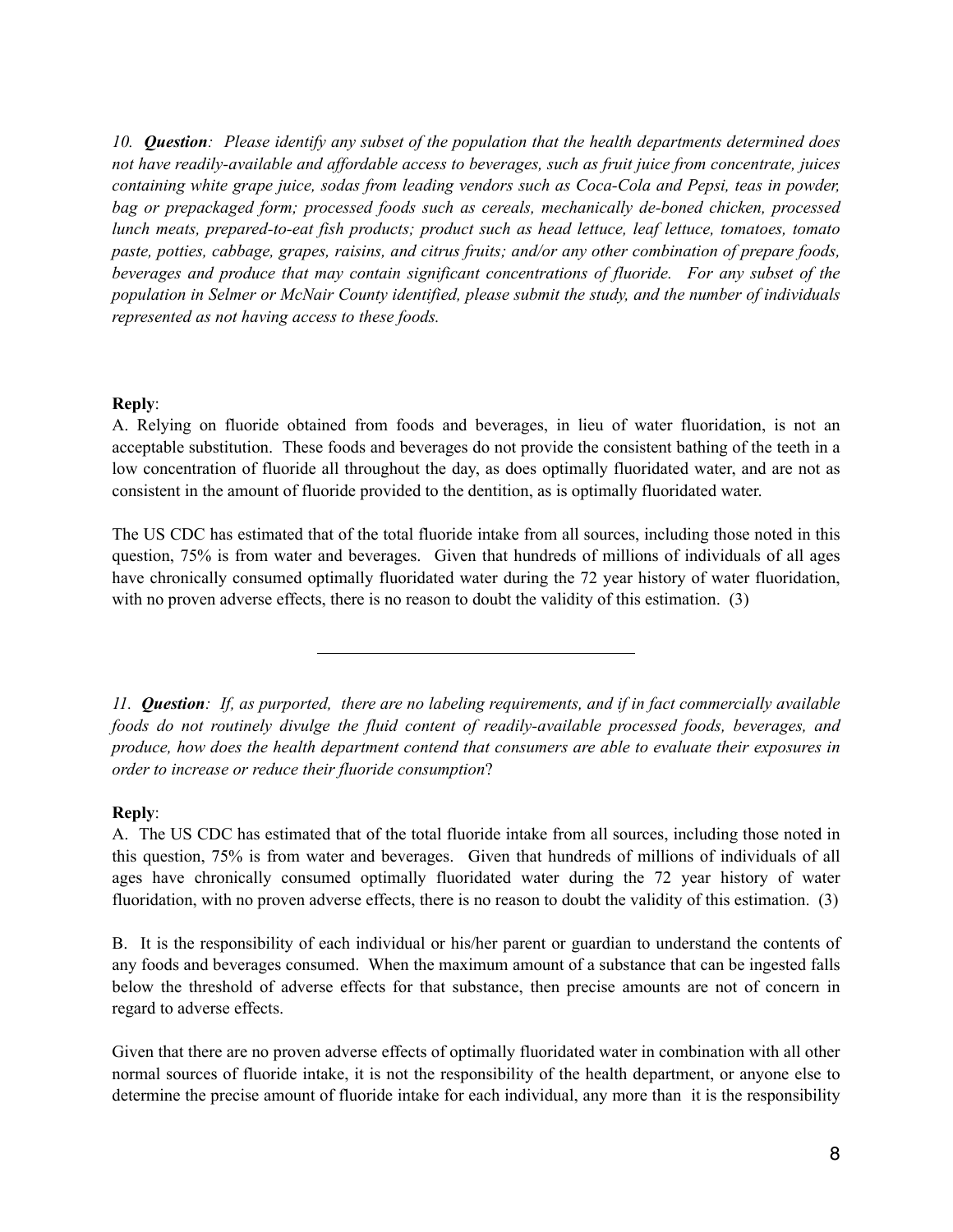*10. Question: Please identify any subset of the population that the health departments determined does not have readily-available and affordable access to beverages, such as fruit juice from concentrate, juices containing white grape juice, sodas from leading vendors such as Coca-Cola and Pepsi, teas in powder, bag or prepackaged form; processed foods such as cereals, mechanically de-boned chicken, processed lunch meats, prepared-to-eat fish products; product such as head lettuce, leaf lettuce, tomatoes, tomato paste, potties, cabbage, grapes, raisins, and citrus fruits; and/or any other combination of prepare foods, beverages and produce that may contain significant concentrations of fluoride. For any subset of the population in Selmer or McNair County identified, please submit the study, and the number of individuals represented as not having access to these foods.* 

## **Reply**:

A. Relying on fluoride obtained from foods and beverages, in lieu of water fluoridation, is not an acceptable substitution. These foods and beverages do not provide the consistent bathing of the teeth in a low concentration of fluoride all throughout the day, as does optimally fluoridated water, and are not as consistent in the amount of fluoride provided to the dentition, as is optimally fluoridated water.

The US CDC has estimated that of the total fluoride intake from all sources, including those noted in this question, 75% is from water and beverages. Given that hundreds of millions of individuals of all ages have chronically consumed optimally fluoridated water during the 72 year history of water fluoridation, with no proven adverse effects, there is no reason to doubt the validity of this estimation. (3)

*11. Question: If, as purported, there are no labeling requirements, and if in fact commercially available foods do not routinely divulge the fluid content of readily-available processed foods, beverages, and produce, how does the health department contend that consumers are able to evaluate their exposures in order to increase or reduce their fluoride consumption*?

## **Reply**:

A. The US CDC has estimated that of the total fluoride intake from all sources, including those noted in this question, 75% is from water and beverages. Given that hundreds of millions of individuals of all ages have chronically consumed optimally fluoridated water during the 72 year history of water fluoridation, with no proven adverse effects, there is no reason to doubt the validity of this estimation. (3)

B. It is the responsibility of each individual or his/her parent or guardian to understand the contents of any foods and beverages consumed. When the maximum amount of a substance that can be ingested falls below the threshold of adverse effects for that substance, then precise amounts are not of concern in regard to adverse effects.

Given that there are no proven adverse effects of optimally fluoridated water in combination with all other normal sources of fluoride intake, it is not the responsibility of the health department, or anyone else to determine the precise amount of fluoride intake for each individual, any more than it is the responsibility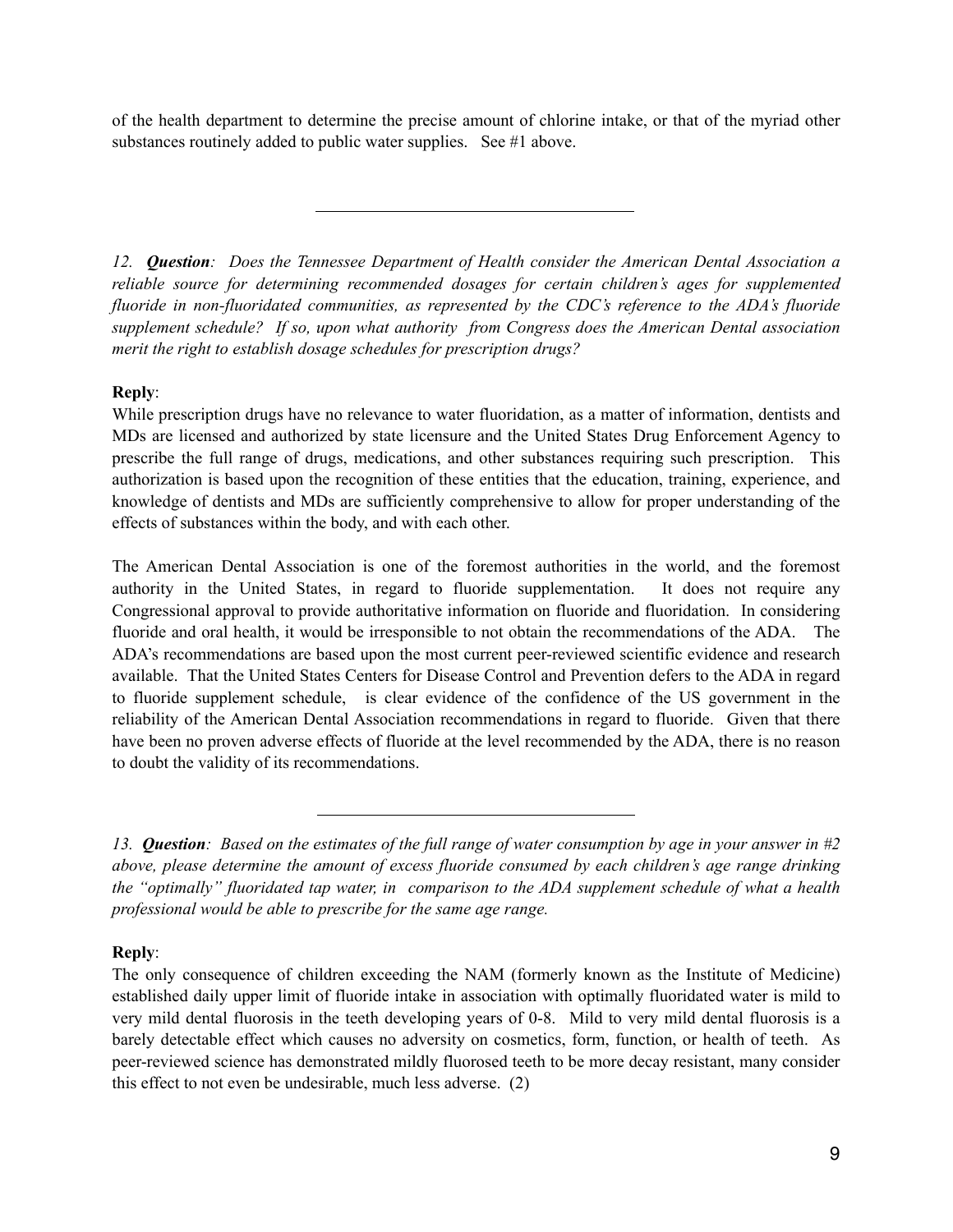of the health department to determine the precise amount of chlorine intake, or that of the myriad other substances routinely added to public water supplies. See #1 above.

*12. Question: Does the Tennessee Department of Health consider the American Dental Association a reliable source for determining recommended dosages for certain children's ages for supplemented fluoride in non-fluoridated communities, as represented by the CDC's reference to the ADA's fluoride supplement schedule? If so, upon what authority from Congress does the American Dental association merit the right to establish dosage schedules for prescription drugs?* 

# **Reply**:

While prescription drugs have no relevance to water fluoridation, as a matter of information, dentists and MDs are licensed and authorized by state licensure and the United States Drug Enforcement Agency to prescribe the full range of drugs, medications, and other substances requiring such prescription. This authorization is based upon the recognition of these entities that the education, training, experience, and knowledge of dentists and MDs are sufficiently comprehensive to allow for proper understanding of the effects of substances within the body, and with each other.

The American Dental Association is one of the foremost authorities in the world, and the foremost authority in the United States, in regard to fluoride supplementation. It does not require any Congressional approval to provide authoritative information on fluoride and fluoridation. In considering fluoride and oral health, it would be irresponsible to not obtain the recommendations of the ADA. The ADA's recommendations are based upon the most current peer-reviewed scientific evidence and research available. That the United States Centers for Disease Control and Prevention defers to the ADA in regard to fluoride supplement schedule, is clear evidence of the confidence of the US government in the reliability of the American Dental Association recommendations in regard to fluoride. Given that there have been no proven adverse effects of fluoride at the level recommended by the ADA, there is no reason to doubt the validity of its recommendations.

# **Reply**:

The only consequence of children exceeding the NAM (formerly known as the Institute of Medicine) established daily upper limit of fluoride intake in association with optimally fluoridated water is mild to very mild dental fluorosis in the teeth developing years of 0-8. Mild to very mild dental fluorosis is a barely detectable effect which causes no adversity on cosmetics, form, function, or health of teeth. As peer-reviewed science has demonstrated mildly fluorosed teeth to be more decay resistant, many consider this effect to not even be undesirable, much less adverse. (2)

*<sup>13.</sup> Question: Based on the estimates of the full range of water consumption by age in your answer in #2 above, please determine the amount of excess fluoride consumed by each children's age range drinking the "optimally" fluoridated tap water, in comparison to the ADA supplement schedule of what a health professional would be able to prescribe for the same age range.*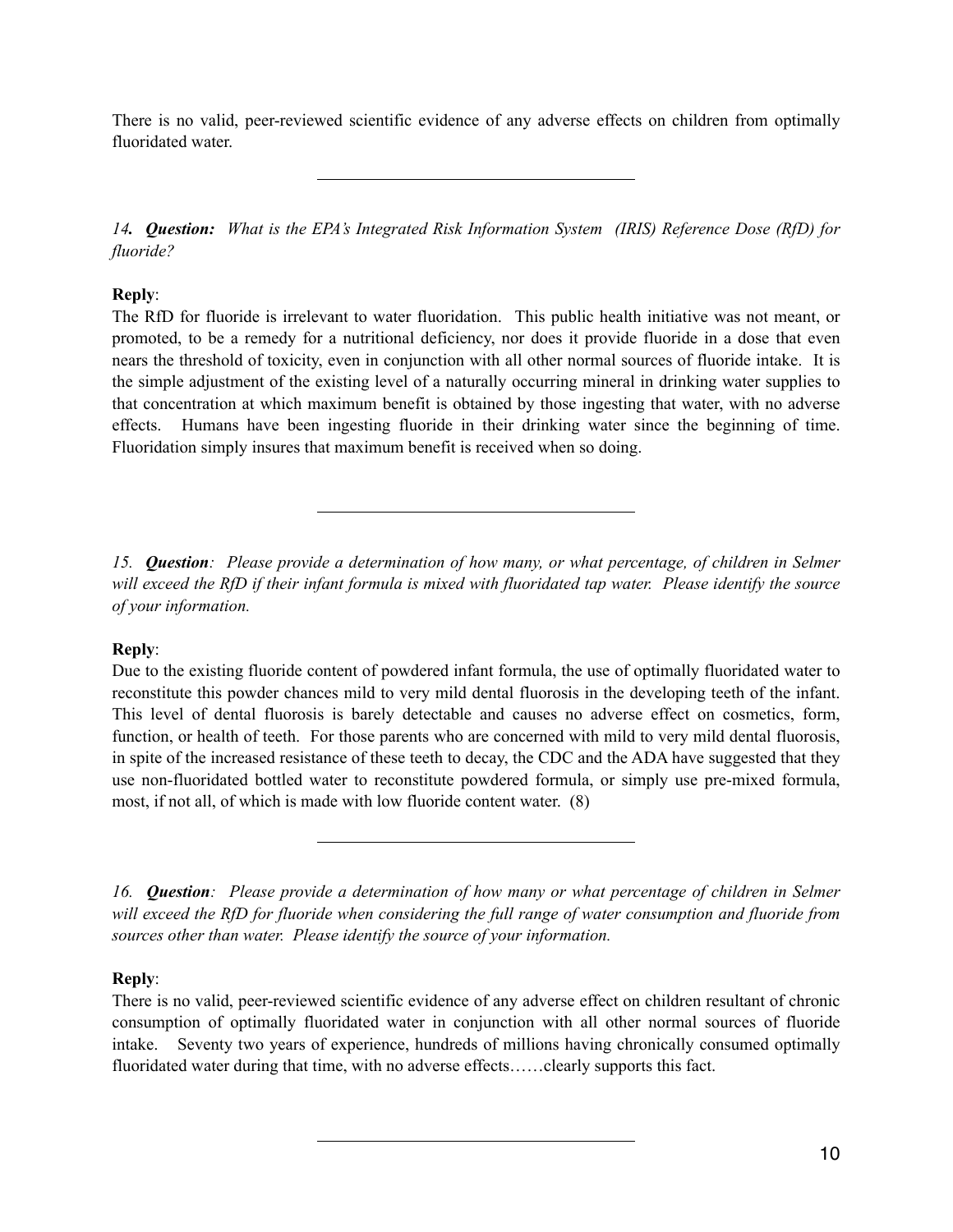There is no valid, peer-reviewed scientific evidence of any adverse effects on children from optimally fluoridated water.

*14. Question: What is the EPA's Integrated Risk Information System (IRIS) Reference Dose (RfD) for fluoride?* 

# **Reply**:

The RfD for fluoride is irrelevant to water fluoridation. This public health initiative was not meant, or promoted, to be a remedy for a nutritional deficiency, nor does it provide fluoride in a dose that even nears the threshold of toxicity, even in conjunction with all other normal sources of fluoride intake. It is the simple adjustment of the existing level of a naturally occurring mineral in drinking water supplies to that concentration at which maximum benefit is obtained by those ingesting that water, with no adverse effects. Humans have been ingesting fluoride in their drinking water since the beginning of time. Fluoridation simply insures that maximum benefit is received when so doing.

*15. Question: Please provide a determination of how many, or what percentage, of children in Selmer will exceed the RfD if their infant formula is mixed with fluoridated tap water. Please identify the source of your information.* 

# **Reply**:

Due to the existing fluoride content of powdered infant formula, the use of optimally fluoridated water to reconstitute this powder chances mild to very mild dental fluorosis in the developing teeth of the infant. This level of dental fluorosis is barely detectable and causes no adverse effect on cosmetics, form, function, or health of teeth. For those parents who are concerned with mild to very mild dental fluorosis, in spite of the increased resistance of these teeth to decay, the CDC and the ADA have suggested that they use non-fluoridated bottled water to reconstitute powdered formula, or simply use pre-mixed formula, most, if not all, of which is made with low fluoride content water. (8)

*16. Question: Please provide a determination of how many or what percentage of children in Selmer will exceed the RfD for fluoride when considering the full range of water consumption and fluoride from sources other than water. Please identify the source of your information.* 

# **Reply**:

There is no valid, peer-reviewed scientific evidence of any adverse effect on children resultant of chronic consumption of optimally fluoridated water in conjunction with all other normal sources of fluoride intake. Seventy two years of experience, hundreds of millions having chronically consumed optimally fluoridated water during that time, with no adverse effects……clearly supports this fact.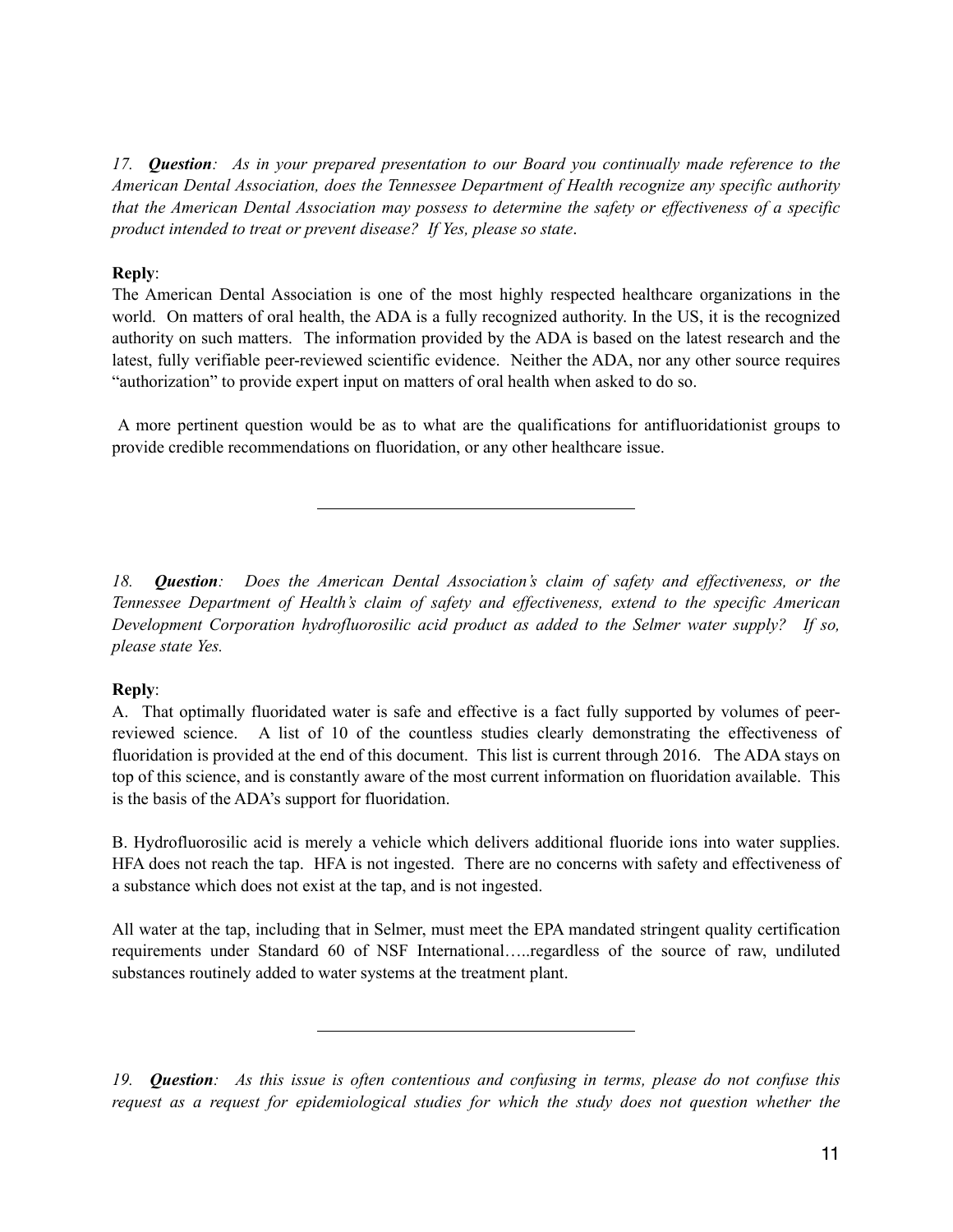*17. Question: As in your prepared presentation to our Board you continually made reference to the American Dental Association, does the Tennessee Department of Health recognize any specific authority that the American Dental Association may possess to determine the safety or effectiveness of a specific product intended to treat or prevent disease? If Yes, please so state*.

## **Reply**:

The American Dental Association is one of the most highly respected healthcare organizations in the world. On matters of oral health, the ADA is a fully recognized authority. In the US, it is the recognized authority on such matters. The information provided by the ADA is based on the latest research and the latest, fully verifiable peer-reviewed scientific evidence. Neither the ADA, nor any other source requires "authorization" to provide expert input on matters of oral health when asked to do so.

 A more pertinent question would be as to what are the qualifications for antifluoridationist groups to provide credible recommendations on fluoridation, or any other healthcare issue.

*18. Question: Does the American Dental Association's claim of safety and effectiveness, or the Tennessee Department of Health's claim of safety and effectiveness, extend to the specific American Development Corporation hydrofluorosilic acid product as added to the Selmer water supply? If so, please state Yes.* 

# **Reply**:

A. That optimally fluoridated water is safe and effective is a fact fully supported by volumes of peerreviewed science. A list of 10 of the countless studies clearly demonstrating the effectiveness of fluoridation is provided at the end of this document. This list is current through 2016. The ADA stays on top of this science, and is constantly aware of the most current information on fluoridation available. This is the basis of the ADA's support for fluoridation.

B. Hydrofluorosilic acid is merely a vehicle which delivers additional fluoride ions into water supplies. HFA does not reach the tap. HFA is not ingested. There are no concerns with safety and effectiveness of a substance which does not exist at the tap, and is not ingested.

All water at the tap, including that in Selmer, must meet the EPA mandated stringent quality certification requirements under Standard 60 of NSF International…..regardless of the source of raw, undiluted substances routinely added to water systems at the treatment plant.

*19. Question: As this issue is often contentious and confusing in terms, please do not confuse this request as a request for epidemiological studies for which the study does not question whether the*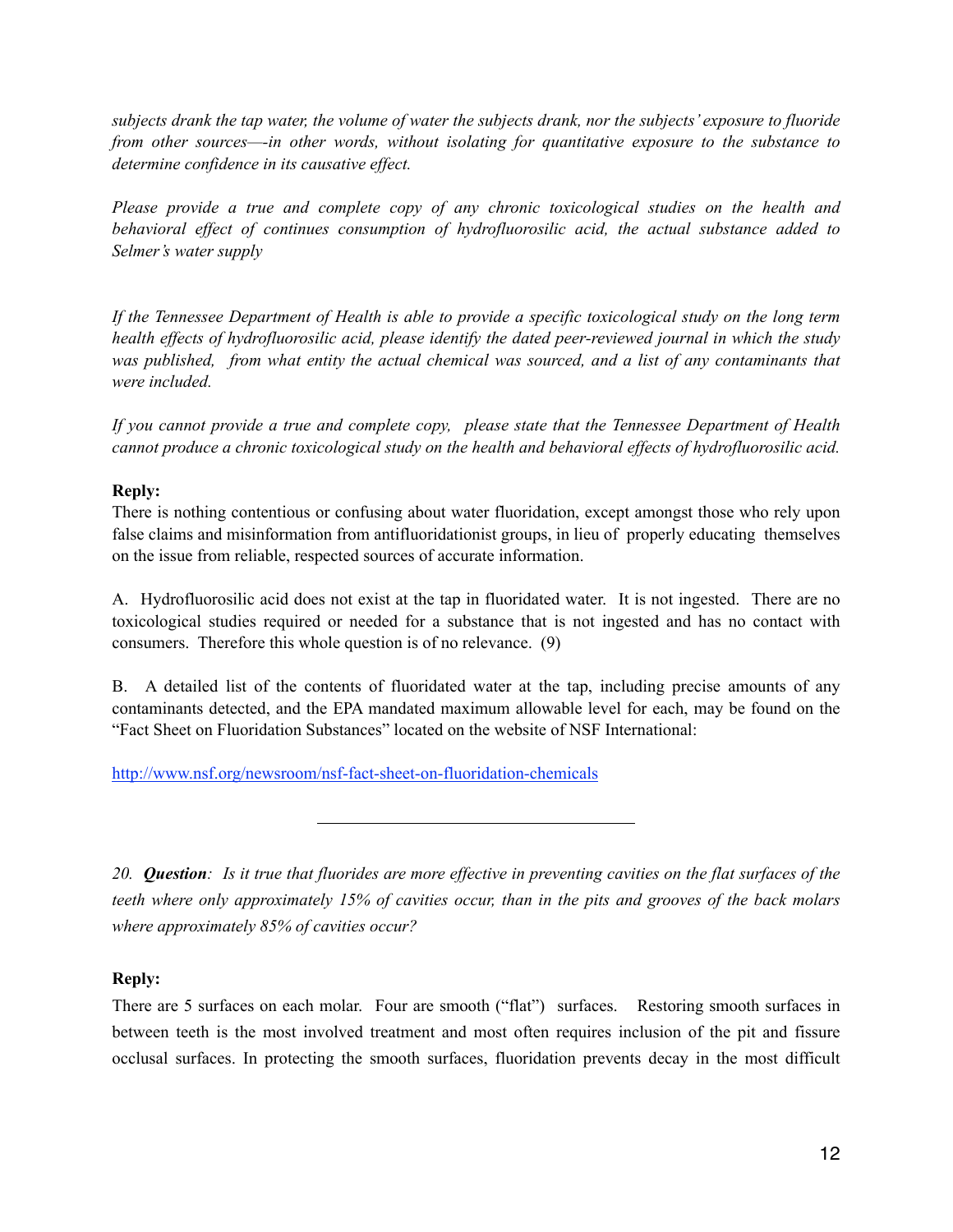*subjects drank the tap water, the volume of water the subjects drank, nor the subjects' exposure to fluoride from other sources—-in other words, without isolating for quantitative exposure to the substance to determine confidence in its causative effect.* 

*Please provide a true and complete copy of any chronic toxicological studies on the health and behavioral effect of continues consumption of hydrofluorosilic acid, the actual substance added to Selmer's water supply* 

*If the Tennessee Department of Health is able to provide a specific toxicological study on the long term health effects of hydrofluorosilic acid, please identify the dated peer-reviewed journal in which the study was published, from what entity the actual chemical was sourced, and a list of any contaminants that were included.* 

*If you cannot provide a true and complete copy, please state that the Tennessee Department of Health cannot produce a chronic toxicological study on the health and behavioral effects of hydrofluorosilic acid.* 

# **Reply:**

There is nothing contentious or confusing about water fluoridation, except amongst those who rely upon false claims and misinformation from antifluoridationist groups, in lieu of properly educating themselves on the issue from reliable, respected sources of accurate information.

A. Hydrofluorosilic acid does not exist at the tap in fluoridated water. It is not ingested. There are no toxicological studies required or needed for a substance that is not ingested and has no contact with consumers. Therefore this whole question is of no relevance. (9)

B. A detailed list of the contents of fluoridated water at the tap, including precise amounts of any contaminants detected, and the EPA mandated maximum allowable level for each, may be found on the "Fact Sheet on Fluoridation Substances" located on the website of NSF International:

<http://www.nsf.org/newsroom/nsf-fact-sheet-on-fluoridation-chemicals>

*20. Question: Is it true that fluorides are more effective in preventing cavities on the flat surfaces of the teeth where only approximately 15% of cavities occur, than in the pits and grooves of the back molars where approximately 85% of cavities occur?* 

# **Reply:**

There are 5 surfaces on each molar. Four are smooth ("flat") surfaces. Restoring smooth surfaces in between teeth is the most involved treatment and most often requires inclusion of the pit and fissure occlusal surfaces. In protecting the smooth surfaces, fluoridation prevents decay in the most difficult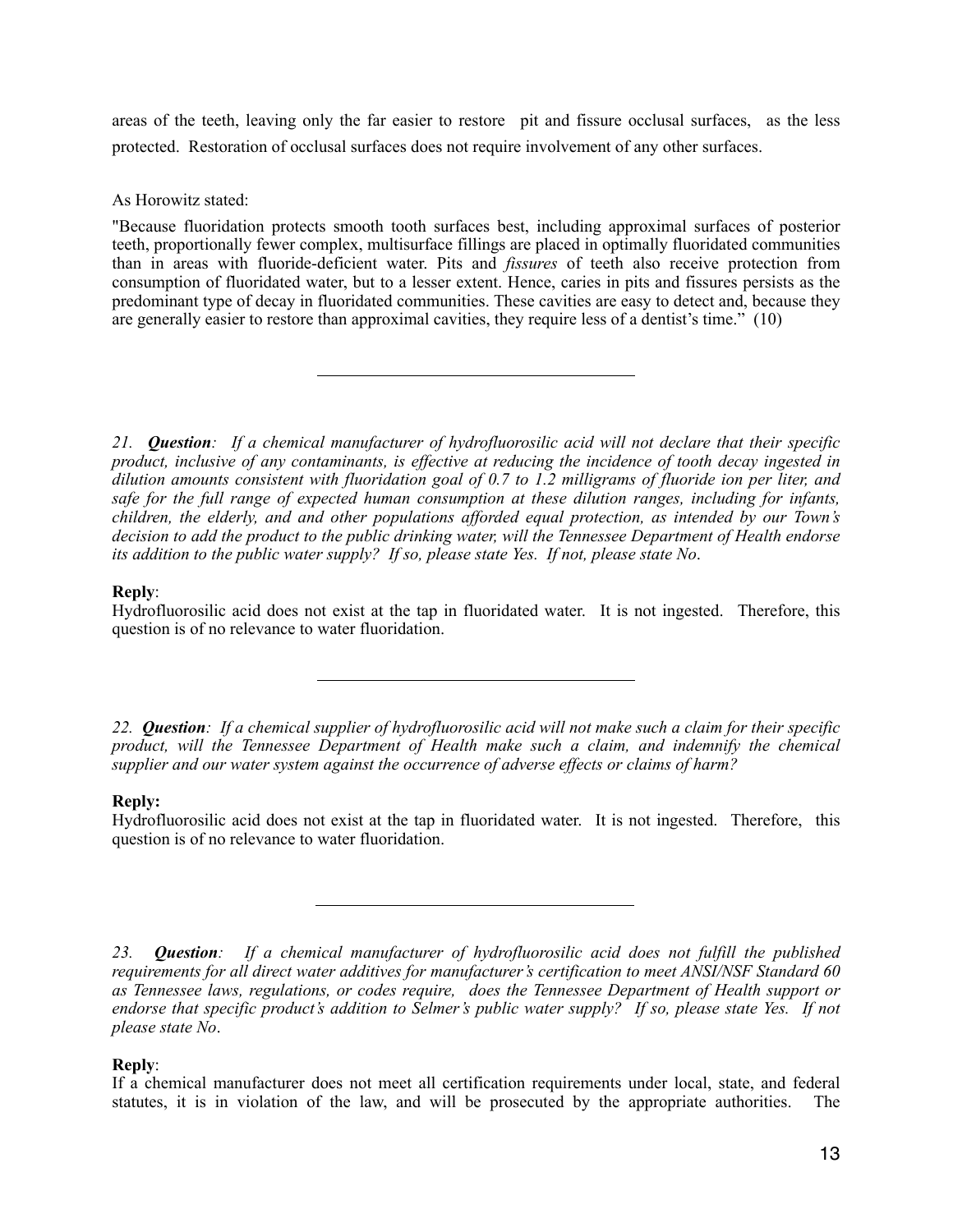areas of the teeth, leaving only the far easier to restore pit and fissure occlusal surfaces, as the less protected. Restoration of occlusal surfaces does not require involvement of any other surfaces.

As Horowitz stated:

"Because fluoridation protects smooth tooth surfaces best, including approximal surfaces of posterior teeth, proportionally fewer complex, multisurface fillings are placed in optimally fluoridated communities than in areas with fluoride-deficient water. Pits and *fissures* of teeth also receive protection from consumption of fluoridated water, but to a lesser extent. Hence, caries in pits and fissures persists as the predominant type of decay in fluoridated communities. These cavities are easy to detect and, because they are generally easier to restore than approximal cavities, they require less of a dentist's time." (10)

*21. Question: If a chemical manufacturer of hydrofluorosilic acid will not declare that their specific product, inclusive of any contaminants, is effective at reducing the incidence of tooth decay ingested in dilution amounts consistent with fluoridation goal of 0.7 to 1.2 milligrams of fluoride ion per liter, and safe for the full range of expected human consumption at these dilution ranges, including for infants, children, the elderly, and and other populations afforded equal protection, as intended by our Town's decision to add the product to the public drinking water, will the Tennessee Department of Health endorse its addition to the public water supply? If so, please state Yes. If not, please state No*.

# **Reply**:

Hydrofluorosilic acid does not exist at the tap in fluoridated water. It is not ingested. Therefore, this question is of no relevance to water fluoridation.

*22. Question: If a chemical supplier of hydrofluorosilic acid will not make such a claim for their specific product, will the Tennessee Department of Health make such a claim, and indemnify the chemical supplier and our water system against the occurrence of adverse effects or claims of harm?* 

## **Reply:**

Hydrofluorosilic acid does not exist at the tap in fluoridated water. It is not ingested. Therefore, this question is of no relevance to water fluoridation.

*23. Question: If a chemical manufacturer of hydrofluorosilic acid does not fulfill the published requirements for all direct water additives for manufacturer's certification to meet ANSI/NSF Standard 60 as Tennessee laws, regulations, or codes require, does the Tennessee Department of Health support or endorse that specific product's addition to Selmer's public water supply? If so, please state Yes. If not please state No*.

# **Reply**:

If a chemical manufacturer does not meet all certification requirements under local, state, and federal statutes, it is in violation of the law, and will be prosecuted by the appropriate authorities. The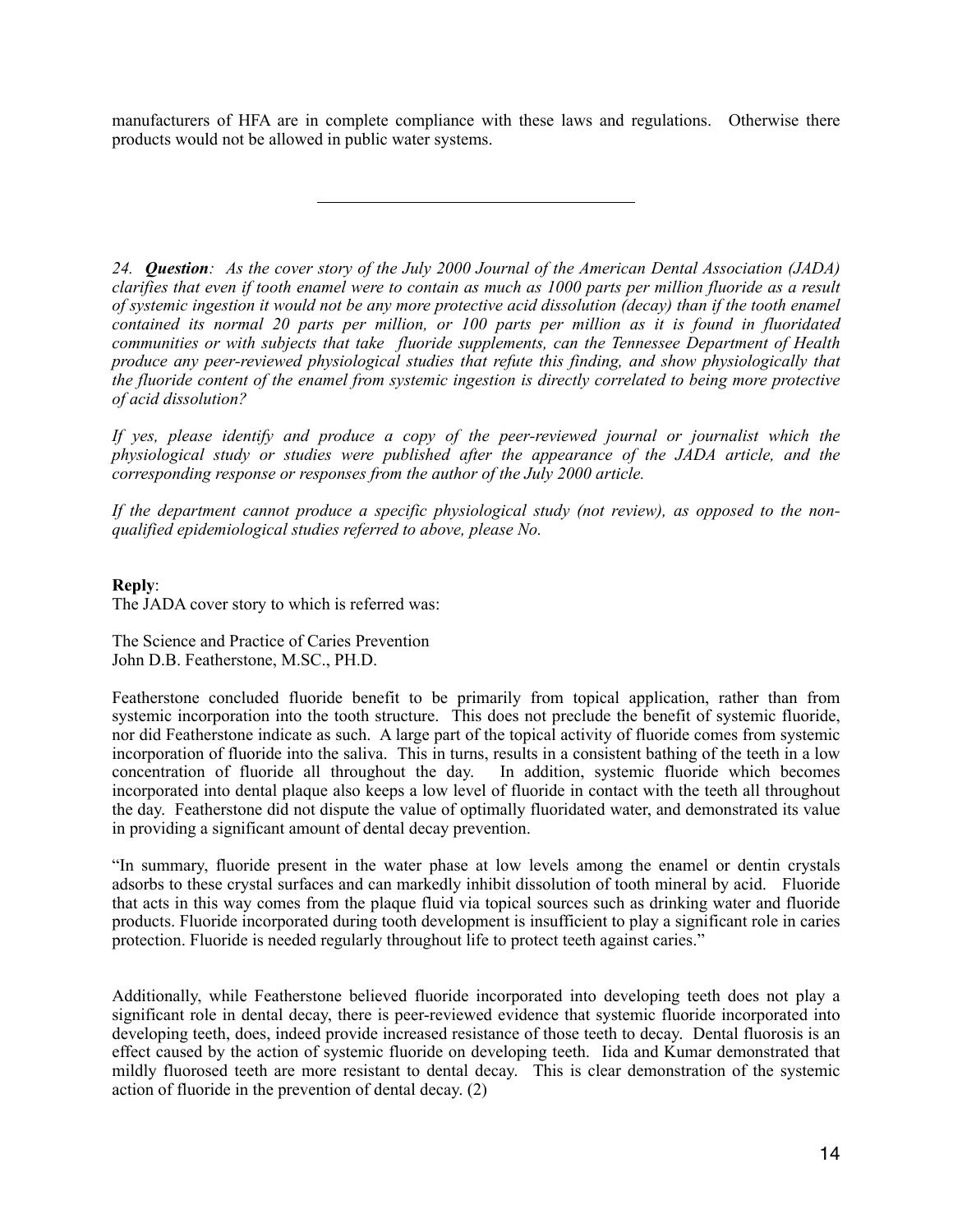manufacturers of HFA are in complete compliance with these laws and regulations. Otherwise there products would not be allowed in public water systems.

*24. Question: As the cover story of the July 2000 Journal of the American Dental Association (JADA) clarifies that even if tooth enamel were to contain as much as 1000 parts per million fluoride as a result of systemic ingestion it would not be any more protective acid dissolution (decay) than if the tooth enamel contained its normal 20 parts per million, or 100 parts per million as it is found in fluoridated communities or with subjects that take fluoride supplements, can the Tennessee Department of Health produce any peer-reviewed physiological studies that refute this finding, and show physiologically that the fluoride content of the enamel from systemic ingestion is directly correlated to being more protective of acid dissolution?* 

*If yes, please identify and produce a copy of the peer-reviewed journal or journalist which the physiological study or studies were published after the appearance of the JADA article, and the corresponding response or responses from the author of the July 2000 article.* 

*If the department cannot produce a specific physiological study (not review), as opposed to the nonqualified epidemiological studies referred to above, please No.* 

## **Reply**:

The JADA cover story to which is referred was:

The Science and Practice of Caries Prevention John D.B. Featherstone, M.SC., PH.D.

Featherstone concluded fluoride benefit to be primarily from topical application, rather than from systemic incorporation into the tooth structure. This does not preclude the benefit of systemic fluoride, nor did Featherstone indicate as such. A large part of the topical activity of fluoride comes from systemic incorporation of fluoride into the saliva. This in turns, results in a consistent bathing of the teeth in a low concentration of fluoride all throughout the day. In addition, systemic fluoride which becomes incorporated into dental plaque also keeps a low level of fluoride in contact with the teeth all throughout the day. Featherstone did not dispute the value of optimally fluoridated water, and demonstrated its value in providing a significant amount of dental decay prevention.

"In summary, fluoride present in the water phase at low levels among the enamel or dentin crystals adsorbs to these crystal surfaces and can markedly inhibit dissolution of tooth mineral by acid. Fluoride that acts in this way comes from the plaque fluid via topical sources such as drinking water and fluoride products. Fluoride incorporated during tooth development is insufficient to play a significant role in caries protection. Fluoride is needed regularly throughout life to protect teeth against caries."

Additionally, while Featherstone believed fluoride incorporated into developing teeth does not play a significant role in dental decay, there is peer-reviewed evidence that systemic fluoride incorporated into developing teeth, does, indeed provide increased resistance of those teeth to decay. Dental fluorosis is an effect caused by the action of systemic fluoride on developing teeth. Iida and Kumar demonstrated that mildly fluorosed teeth are more resistant to dental decay. This is clear demonstration of the systemic action of fluoride in the prevention of dental decay. (2)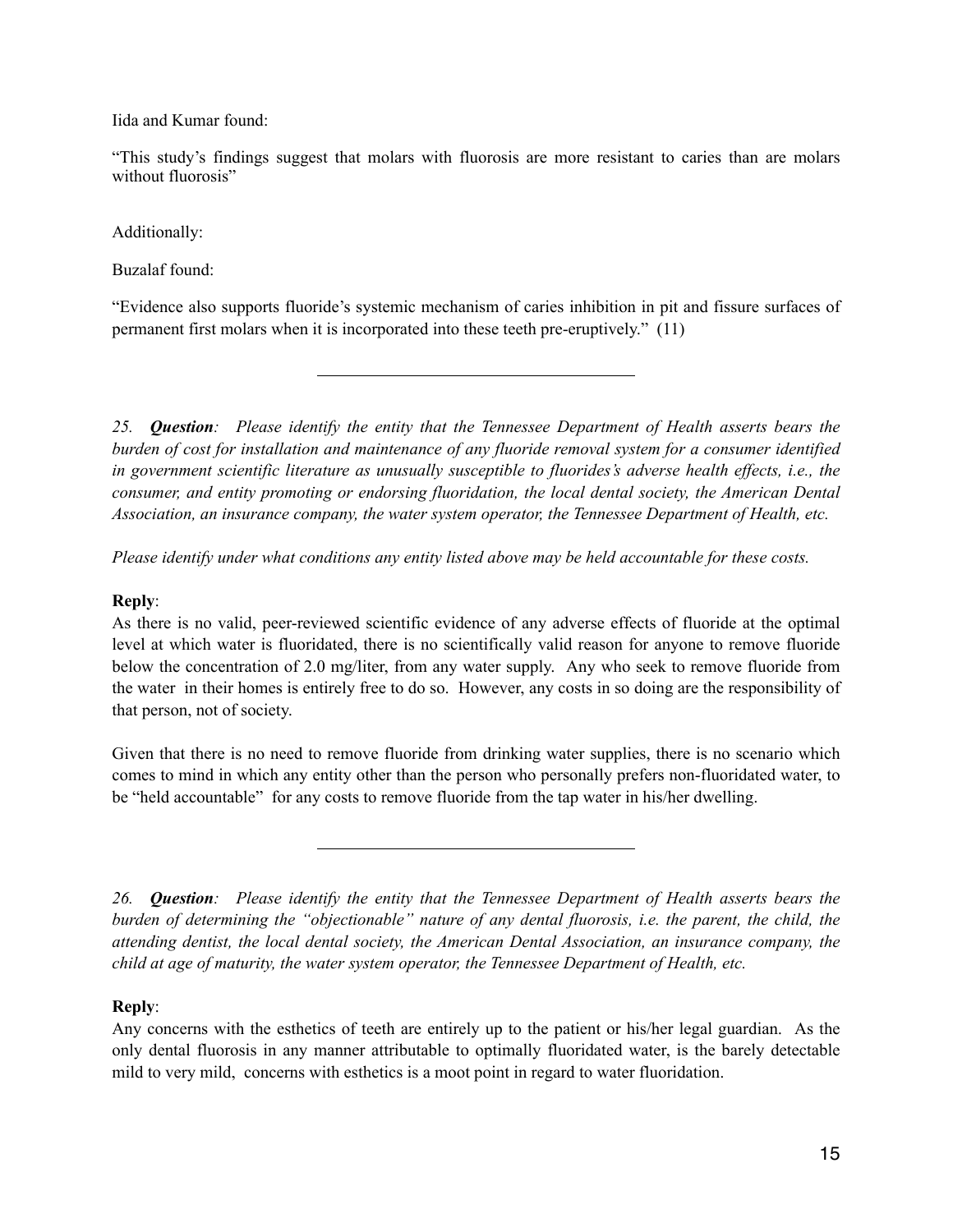Iida and Kumar found:

"This study's findings suggest that molars with fluorosis are more resistant to caries than are molars without fluorosis"

Additionally:

Buzalaf found:

"Evidence also supports fluoride's systemic mechanism of caries inhibition in pit and fissure surfaces of permanent first molars when it is incorporated into these teeth pre-eruptively." (11)

*25. Question: Please identify the entity that the Tennessee Department of Health asserts bears the burden of cost for installation and maintenance of any fluoride removal system for a consumer identified in government scientific literature as unusually susceptible to fluorides's adverse health effects, i.e., the consumer, and entity promoting or endorsing fluoridation, the local dental society, the American Dental Association, an insurance company, the water system operator, the Tennessee Department of Health, etc.* 

*Please identify under what conditions any entity listed above may be held accountable for these costs.* 

## **Reply**:

As there is no valid, peer-reviewed scientific evidence of any adverse effects of fluoride at the optimal level at which water is fluoridated, there is no scientifically valid reason for anyone to remove fluoride below the concentration of 2.0 mg/liter, from any water supply. Any who seek to remove fluoride from the water in their homes is entirely free to do so. However, any costs in so doing are the responsibility of that person, not of society.

Given that there is no need to remove fluoride from drinking water supplies, there is no scenario which comes to mind in which any entity other than the person who personally prefers non-fluoridated water, to be "held accountable" for any costs to remove fluoride from the tap water in his/her dwelling.

*26. Question: Please identify the entity that the Tennessee Department of Health asserts bears the burden of determining the "objectionable" nature of any dental fluorosis, i.e. the parent, the child, the attending dentist, the local dental society, the American Dental Association, an insurance company, the child at age of maturity, the water system operator, the Tennessee Department of Health, etc.* 

# **Reply**:

Any concerns with the esthetics of teeth are entirely up to the patient or his/her legal guardian. As the only dental fluorosis in any manner attributable to optimally fluoridated water, is the barely detectable mild to very mild, concerns with esthetics is a moot point in regard to water fluoridation.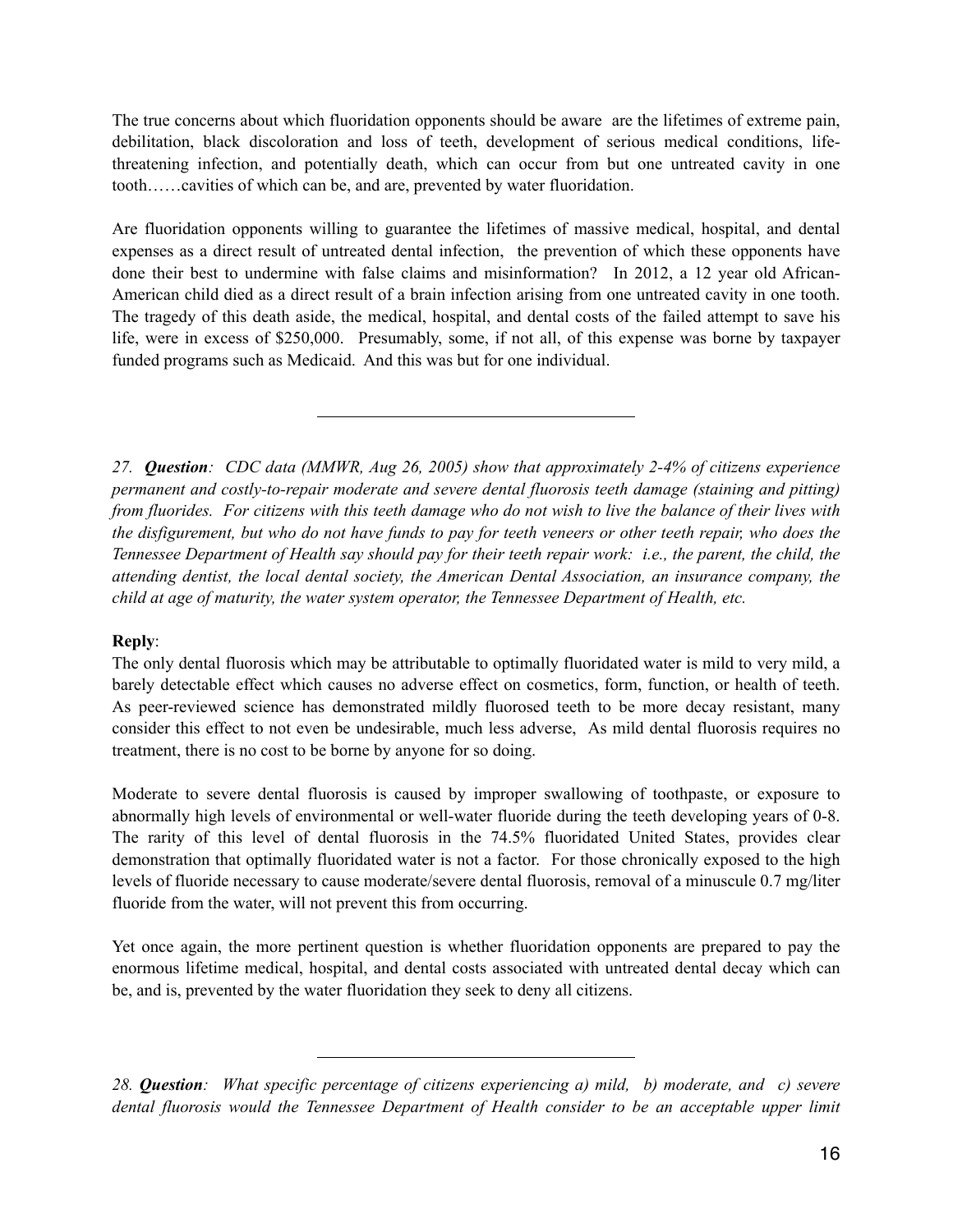The true concerns about which fluoridation opponents should be aware are the lifetimes of extreme pain, debilitation, black discoloration and loss of teeth, development of serious medical conditions, lifethreatening infection, and potentially death, which can occur from but one untreated cavity in one tooth……cavities of which can be, and are, prevented by water fluoridation.

Are fluoridation opponents willing to guarantee the lifetimes of massive medical, hospital, and dental expenses as a direct result of untreated dental infection, the prevention of which these opponents have done their best to undermine with false claims and misinformation? In 2012, a 12 year old African-American child died as a direct result of a brain infection arising from one untreated cavity in one tooth. The tragedy of this death aside, the medical, hospital, and dental costs of the failed attempt to save his life, were in excess of \$250,000. Presumably, some, if not all, of this expense was borne by taxpayer funded programs such as Medicaid. And this was but for one individual.

*27. Question: CDC data (MMWR, Aug 26, 2005) show that approximately 2-4% of citizens experience permanent and costly-to-repair moderate and severe dental fluorosis teeth damage (staining and pitting) from fluorides. For citizens with this teeth damage who do not wish to live the balance of their lives with the disfigurement, but who do not have funds to pay for teeth veneers or other teeth repair, who does the Tennessee Department of Health say should pay for their teeth repair work: i.e., the parent, the child, the attending dentist, the local dental society, the American Dental Association, an insurance company, the child at age of maturity, the water system operator, the Tennessee Department of Health, etc.* 

# **Reply**:

The only dental fluorosis which may be attributable to optimally fluoridated water is mild to very mild, a barely detectable effect which causes no adverse effect on cosmetics, form, function, or health of teeth. As peer-reviewed science has demonstrated mildly fluorosed teeth to be more decay resistant, many consider this effect to not even be undesirable, much less adverse, As mild dental fluorosis requires no treatment, there is no cost to be borne by anyone for so doing.

Moderate to severe dental fluorosis is caused by improper swallowing of toothpaste, or exposure to abnormally high levels of environmental or well-water fluoride during the teeth developing years of 0-8. The rarity of this level of dental fluorosis in the 74.5% fluoridated United States, provides clear demonstration that optimally fluoridated water is not a factor. For those chronically exposed to the high levels of fluoride necessary to cause moderate/severe dental fluorosis, removal of a minuscule 0.7 mg/liter fluoride from the water, will not prevent this from occurring.

Yet once again, the more pertinent question is whether fluoridation opponents are prepared to pay the enormous lifetime medical, hospital, and dental costs associated with untreated dental decay which can be, and is, prevented by the water fluoridation they seek to deny all citizens.

*28. Question: What specific percentage of citizens experiencing a) mild, b) moderate, and c) severe dental fluorosis would the Tennessee Department of Health consider to be an acceptable upper limit*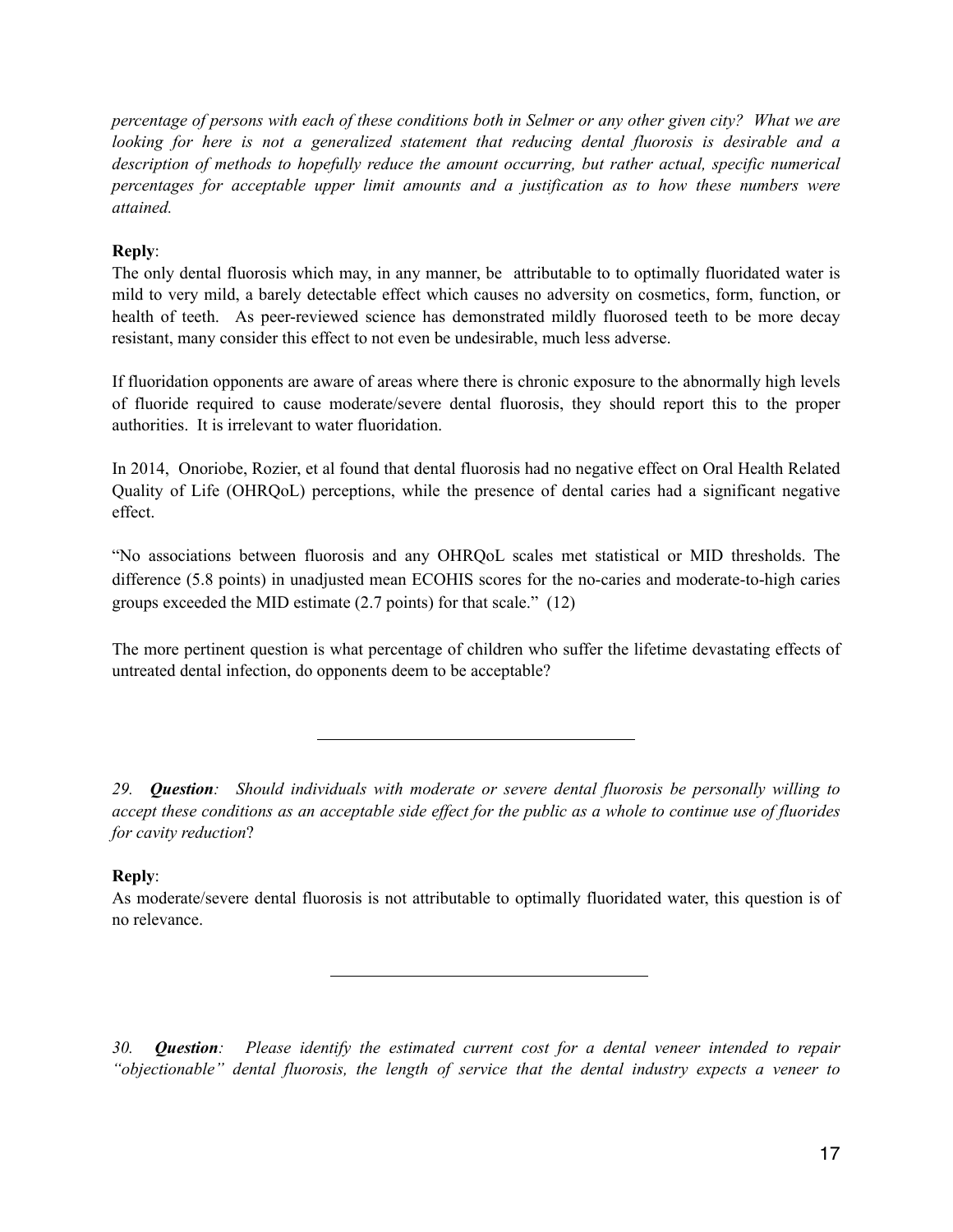*percentage of persons with each of these conditions both in Selmer or any other given city? What we are looking for here is not a generalized statement that reducing dental fluorosis is desirable and a description of methods to hopefully reduce the amount occurring, but rather actual, specific numerical percentages for acceptable upper limit amounts and a justification as to how these numbers were attained.* 

# **Reply**:

The only dental fluorosis which may, in any manner, be attributable to to optimally fluoridated water is mild to very mild, a barely detectable effect which causes no adversity on cosmetics, form, function, or health of teeth. As peer-reviewed science has demonstrated mildly fluorosed teeth to be more decay resistant, many consider this effect to not even be undesirable, much less adverse.

If fluoridation opponents are aware of areas where there is chronic exposure to the abnormally high levels of fluoride required to cause moderate/severe dental fluorosis, they should report this to the proper authorities. It is irrelevant to water fluoridation.

In 2014, Onoriobe, Rozier, et al found that dental fluorosis had no negative effect on Oral Health Related Quality of Life (OHRQoL) perceptions, while the presence of dental caries had a significant negative effect.

"No associations between fluorosis and any OHRQoL scales met statistical or MID thresholds. The difference (5.8 points) in unadjusted mean ECOHIS scores for the no-caries and moderate-to-high caries groups exceeded the MID estimate (2.7 points) for that scale." (12)

The more pertinent question is what percentage of children who suffer the lifetime devastating effects of untreated dental infection, do opponents deem to be acceptable?

*29. Question: Should individuals with moderate or severe dental fluorosis be personally willing to accept these conditions as an acceptable side effect for the public as a whole to continue use of fluorides for cavity reduction*?

# **Reply**:

As moderate/severe dental fluorosis is not attributable to optimally fluoridated water, this question is of no relevance.

*30. Question: Please identify the estimated current cost for a dental veneer intended to repair "objectionable" dental fluorosis, the length of service that the dental industry expects a veneer to*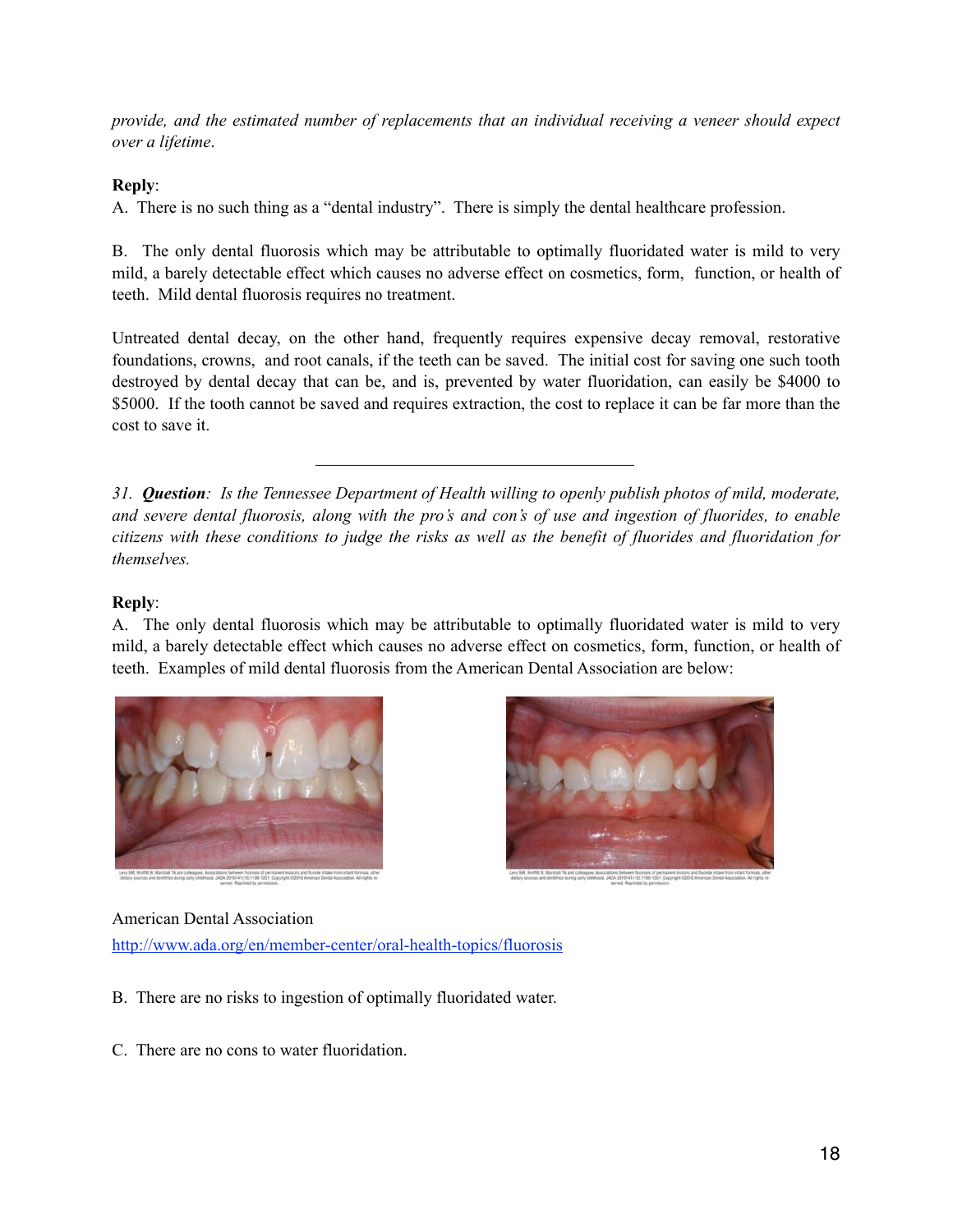*provide, and the estimated number of replacements that an individual receiving a veneer should expect over a lifetime*.

# **Reply**:

A. There is no such thing as a "dental industry". There is simply the dental healthcare profession.

B. The only dental fluorosis which may be attributable to optimally fluoridated water is mild to very mild, a barely detectable effect which causes no adverse effect on cosmetics, form, function, or health of teeth. Mild dental fluorosis requires no treatment.

Untreated dental decay, on the other hand, frequently requires expensive decay removal, restorative foundations, crowns, and root canals, if the teeth can be saved. The initial cost for saving one such tooth destroyed by dental decay that can be, and is, prevented by water fluoridation, can easily be \$4000 to \$5000. If the tooth cannot be saved and requires extraction, the cost to replace it can be far more than the cost to save it.

*31. Question: Is the Tennessee Department of Health willing to openly publish photos of mild, moderate, and severe dental fluorosis, along with the pro's and con's of use and ingestion of fluorides, to enable citizens with these conditions to judge the risks as well as the benefit of fluorides and fluoridation for themselves.* 

## **Reply**:

A. The only dental fluorosis which may be attributable to optimally fluoridated water is mild to very mild, a barely detectable effect which causes no adverse effect on cosmetics, form, function, or health of teeth. Examples of mild dental fluorosis from the American Dental Association are below:





## American Dental Association

<http://www.ada.org/en/member-center/oral-health-topics/fluorosis>

- B. There are no risks to ingestion of optimally fluoridated water.
- C. There are no cons to water fluoridation.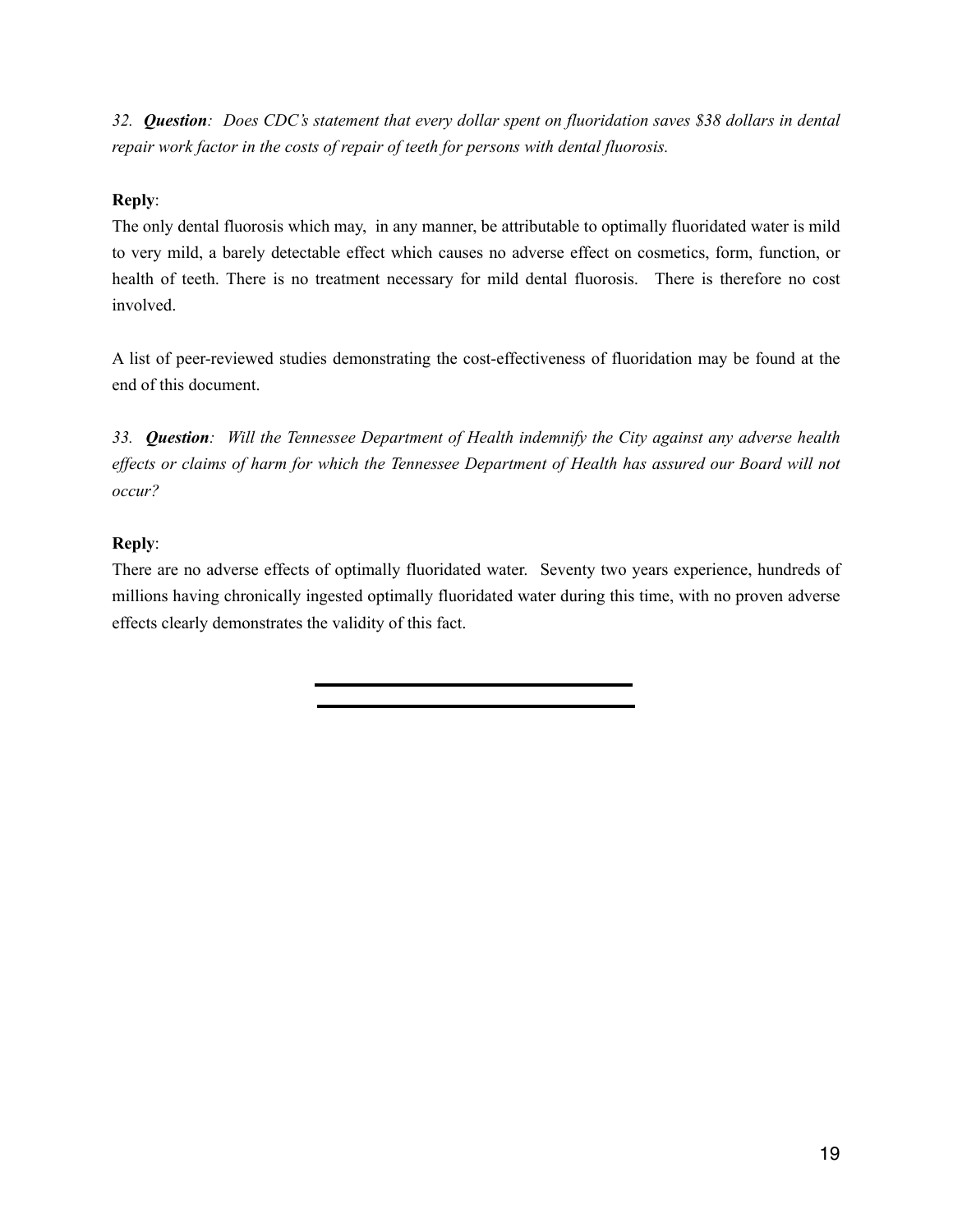*32. Question: Does CDC's statement that every dollar spent on fluoridation saves \$38 dollars in dental repair work factor in the costs of repair of teeth for persons with dental fluorosis.* 

# **Reply**:

The only dental fluorosis which may, in any manner, be attributable to optimally fluoridated water is mild to very mild, a barely detectable effect which causes no adverse effect on cosmetics, form, function, or health of teeth. There is no treatment necessary for mild dental fluorosis. There is therefore no cost involved.

A list of peer-reviewed studies demonstrating the cost-effectiveness of fluoridation may be found at the end of this document.

*33. Question: Will the Tennessee Department of Health indemnify the City against any adverse health effects or claims of harm for which the Tennessee Department of Health has assured our Board will not occur?* 

# **Reply**:

There are no adverse effects of optimally fluoridated water. Seventy two years experience, hundreds of millions having chronically ingested optimally fluoridated water during this time, with no proven adverse effects clearly demonstrates the validity of this fact.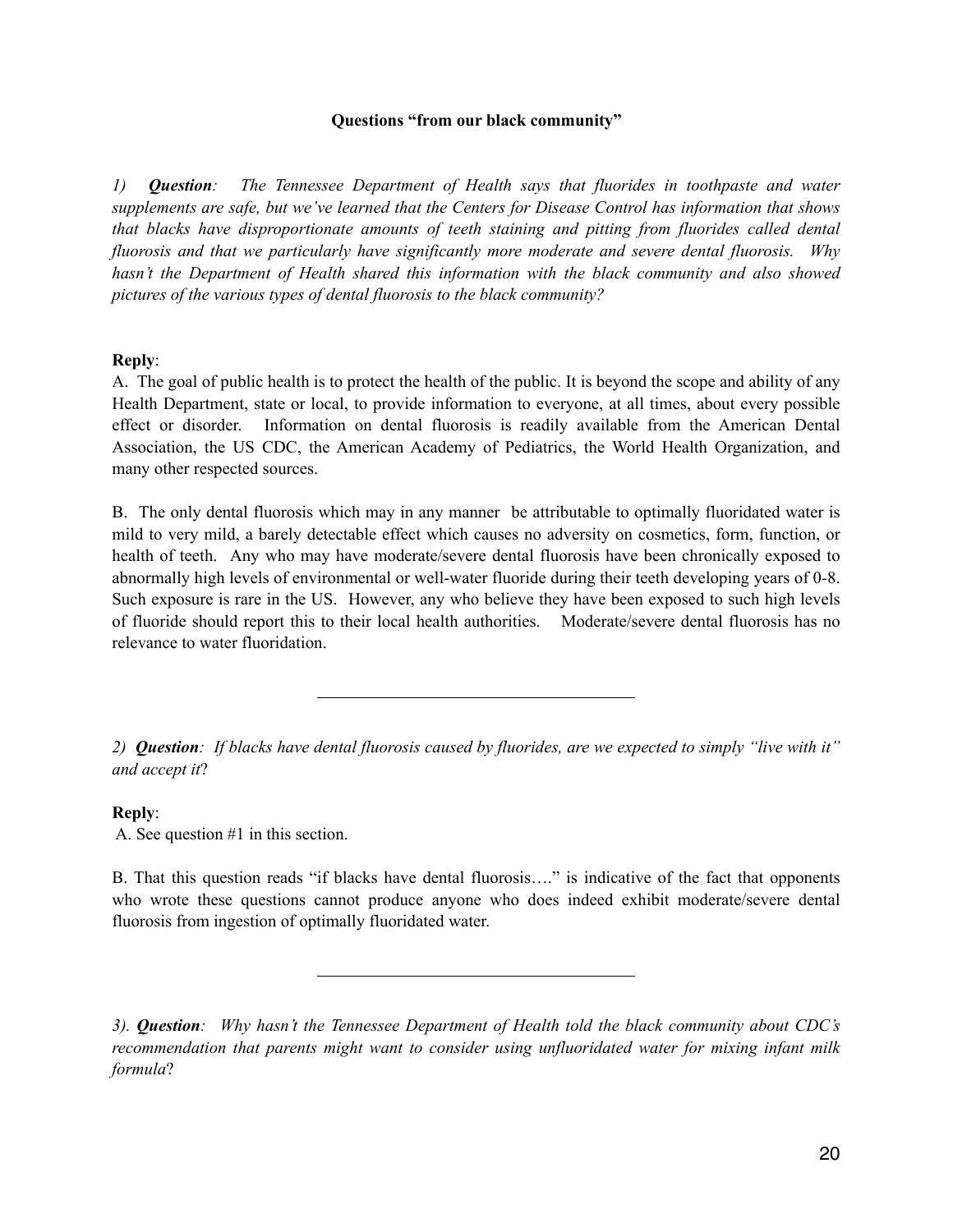#### **Questions "from our black community"**

*1) Question: The Tennessee Department of Health says that fluorides in toothpaste and water supplements are safe, but we've learned that the Centers for Disease Control has information that shows that blacks have disproportionate amounts of teeth staining and pitting from fluorides called dental fluorosis and that we particularly have significantly more moderate and severe dental fluorosis. Why hasn't the Department of Health shared this information with the black community and also showed pictures of the various types of dental fluorosis to the black community?* 

#### **Reply**:

A. The goal of public health is to protect the health of the public. It is beyond the scope and ability of any Health Department, state or local, to provide information to everyone, at all times, about every possible effect or disorder. Information on dental fluorosis is readily available from the American Dental Association, the US CDC, the American Academy of Pediatrics, the World Health Organization, and many other respected sources.

B. The only dental fluorosis which may in any manner be attributable to optimally fluoridated water is mild to very mild, a barely detectable effect which causes no adversity on cosmetics, form, function, or health of teeth. Any who may have moderate/severe dental fluorosis have been chronically exposed to abnormally high levels of environmental or well-water fluoride during their teeth developing years of 0-8. Such exposure is rare in the US. However, any who believe they have been exposed to such high levels of fluoride should report this to their local health authorities. Moderate/severe dental fluorosis has no relevance to water fluoridation.

*2) Question: If blacks have dental fluorosis caused by fluorides, are we expected to simply "live with it" and accept it*?

#### **Reply**:

A. See question #1 in this section.

B. That this question reads "if blacks have dental fluorosis…." is indicative of the fact that opponents who wrote these questions cannot produce anyone who does indeed exhibit moderate/severe dental fluorosis from ingestion of optimally fluoridated water.

*<sup>3).</sup> Question: Why hasn't the Tennessee Department of Health told the black community about CDC's recommendation that parents might want to consider using unfluoridated water for mixing infant milk formula*?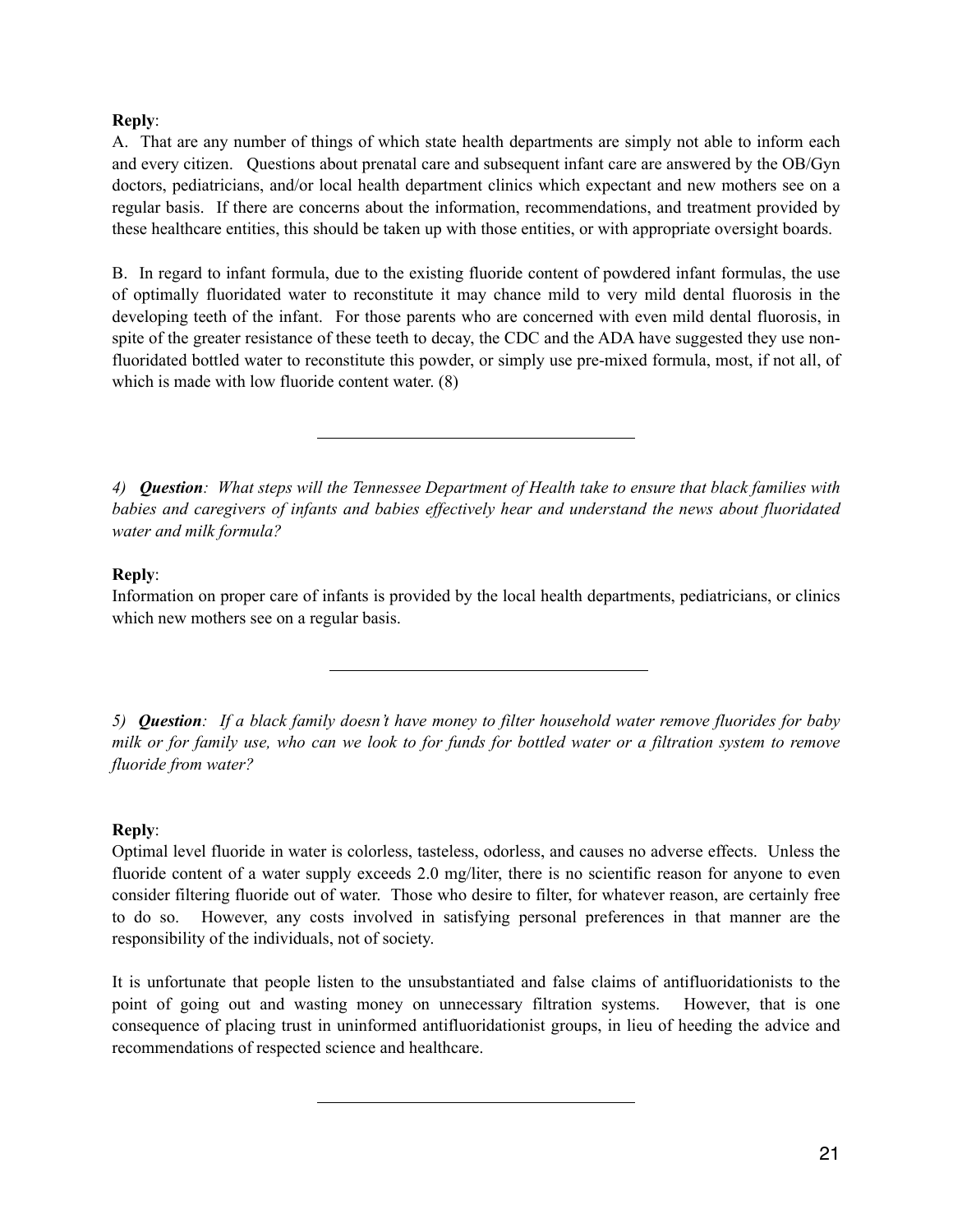## **Reply**:

A. That are any number of things of which state health departments are simply not able to inform each and every citizen. Questions about prenatal care and subsequent infant care are answered by the OB/Gyn doctors, pediatricians, and/or local health department clinics which expectant and new mothers see on a regular basis. If there are concerns about the information, recommendations, and treatment provided by these healthcare entities, this should be taken up with those entities, or with appropriate oversight boards.

B. In regard to infant formula, due to the existing fluoride content of powdered infant formulas, the use of optimally fluoridated water to reconstitute it may chance mild to very mild dental fluorosis in the developing teeth of the infant. For those parents who are concerned with even mild dental fluorosis, in spite of the greater resistance of these teeth to decay, the CDC and the ADA have suggested they use nonfluoridated bottled water to reconstitute this powder, or simply use pre-mixed formula, most, if not all, of which is made with low fluoride content water.  $(8)$ 

*4) Question: What steps will the Tennessee Department of Health take to ensure that black families with babies and caregivers of infants and babies effectively hear and understand the news about fluoridated water and milk formula?* 

## **Reply**:

Information on proper care of infants is provided by the local health departments, pediatricians, or clinics which new mothers see on a regular basis.

*5) Question: If a black family doesn't have money to filter household water remove fluorides for baby milk or for family use, who can we look to for funds for bottled water or a filtration system to remove fluoride from water?* 

## **Reply**:

Optimal level fluoride in water is colorless, tasteless, odorless, and causes no adverse effects. Unless the fluoride content of a water supply exceeds 2.0 mg/liter, there is no scientific reason for anyone to even consider filtering fluoride out of water. Those who desire to filter, for whatever reason, are certainly free to do so. However, any costs involved in satisfying personal preferences in that manner are the responsibility of the individuals, not of society.

It is unfortunate that people listen to the unsubstantiated and false claims of antifluoridationists to the point of going out and wasting money on unnecessary filtration systems. However, that is one consequence of placing trust in uninformed antifluoridationist groups, in lieu of heeding the advice and recommendations of respected science and healthcare.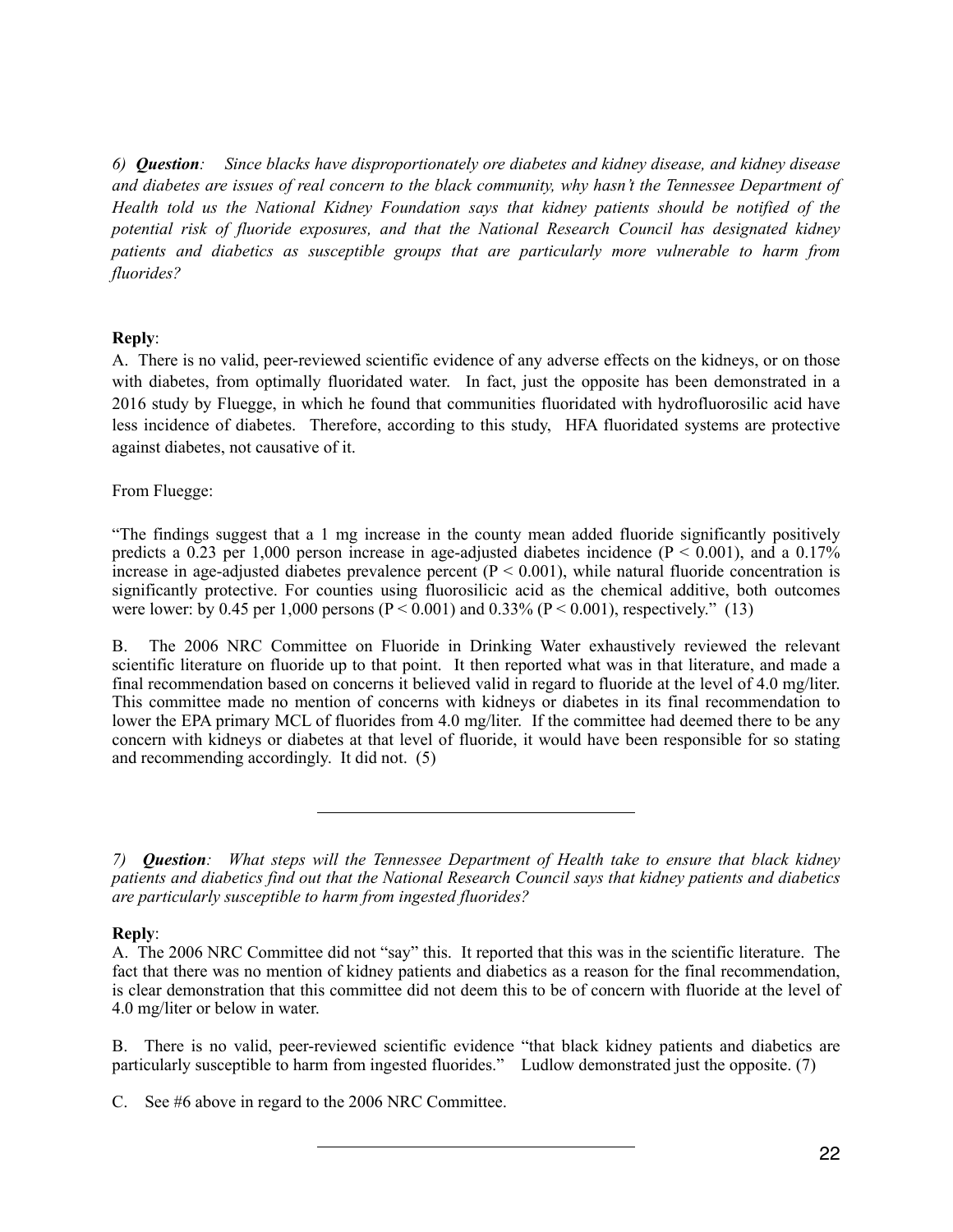*6) Question: Since blacks have disproportionately ore diabetes and kidney disease, and kidney disease and diabetes are issues of real concern to the black community, why hasn't the Tennessee Department of Health told us the National Kidney Foundation says that kidney patients should be notified of the potential risk of fluoride exposures, and that the National Research Council has designated kidney patients and diabetics as susceptible groups that are particularly more vulnerable to harm from fluorides?* 

# **Reply**:

A. There is no valid, peer-reviewed scientific evidence of any adverse effects on the kidneys, or on those with diabetes, from optimally fluoridated water. In fact, just the opposite has been demonstrated in a 2016 study by Fluegge, in which he found that communities fluoridated with hydrofluorosilic acid have less incidence of diabetes. Therefore, according to this study, HFA fluoridated systems are protective against diabetes, not causative of it.

From Fluegge:

"The findings suggest that a 1 mg increase in the county mean added fluoride significantly positively predicts a 0.23 per 1,000 person increase in age-adjusted diabetes incidence ( $P < 0.001$ ), and a 0.17% increase in age-adjusted diabetes prevalence percent  $(P < 0.001)$ , while natural fluoride concentration is significantly protective. For counties using fluorosilicic acid as the chemical additive, both outcomes were lower: by 0.45 per 1,000 persons ( $P < 0.001$ ) and 0.33% ( $P < 0.001$ ), respectively." (13)

B. The 2006 NRC Committee on Fluoride in Drinking Water exhaustively reviewed the relevant scientific literature on fluoride up to that point. It then reported what was in that literature, and made a final recommendation based on concerns it believed valid in regard to fluoride at the level of 4.0 mg/liter. This committee made no mention of concerns with kidneys or diabetes in its final recommendation to lower the EPA primary MCL of fluorides from 4.0 mg/liter. If the committee had deemed there to be any concern with kidneys or diabetes at that level of fluoride, it would have been responsible for so stating and recommending accordingly. It did not. (5)

## **Reply**:

B. There is no valid, peer-reviewed scientific evidence "that black kidney patients and diabetics are particularly susceptible to harm from ingested fluorides." Ludlow demonstrated just the opposite. (7)

*<sup>7)</sup> Question: What steps will the Tennessee Department of Health take to ensure that black kidney patients and diabetics find out that the National Research Council says that kidney patients and diabetics are particularly susceptible to harm from ingested fluorides?* 

A. The 2006 NRC Committee did not "say" this. It reported that this was in the scientific literature. The fact that there was no mention of kidney patients and diabetics as a reason for the final recommendation, is clear demonstration that this committee did not deem this to be of concern with fluoride at the level of 4.0 mg/liter or below in water.

C. See #6 above in regard to the 2006 NRC Committee.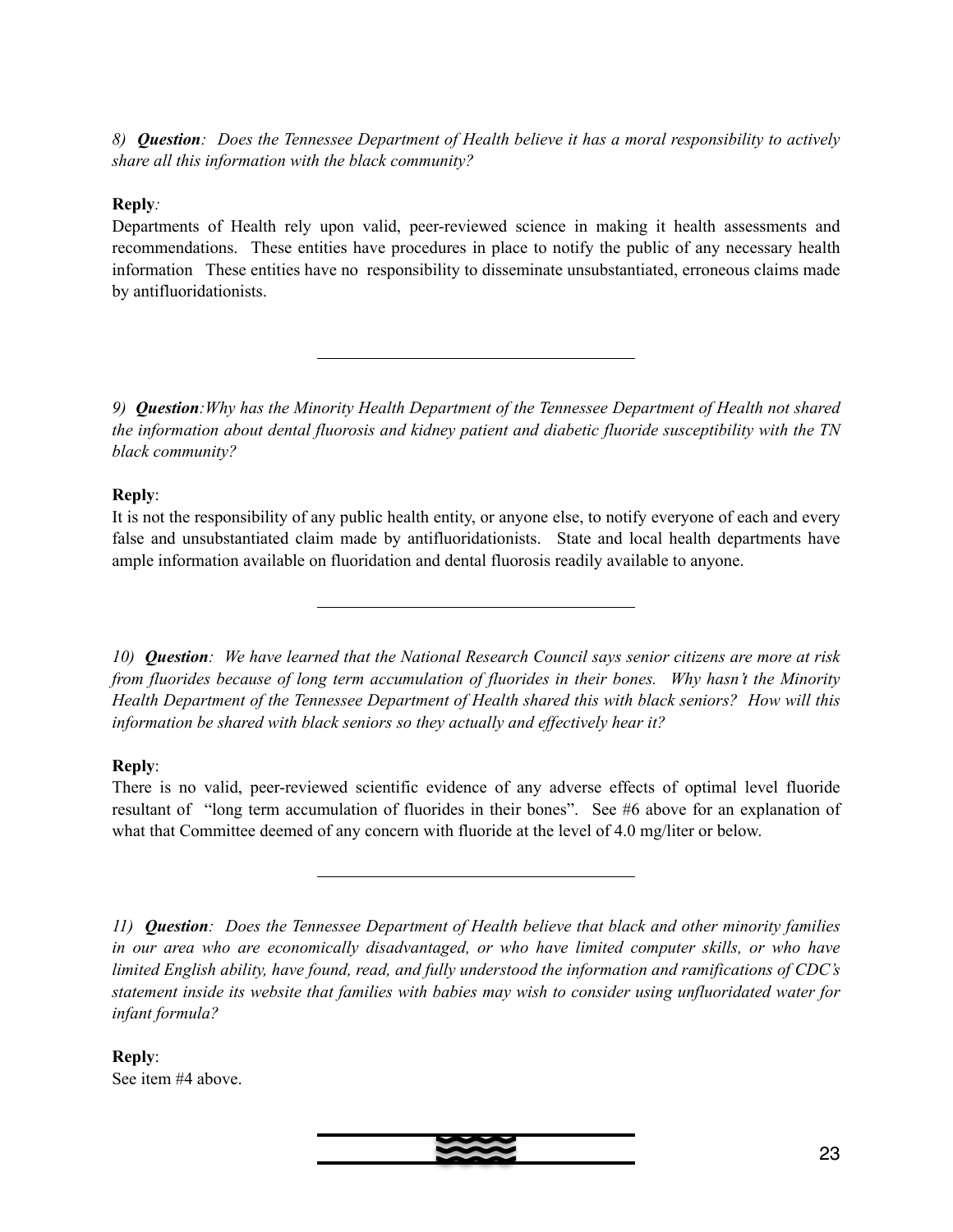*8) Question: Does the Tennessee Department of Health believe it has a moral responsibility to actively share all this information with the black community?* 

# **Reply***:*

Departments of Health rely upon valid, peer-reviewed science in making it health assessments and recommendations. These entities have procedures in place to notify the public of any necessary health information These entities have no responsibility to disseminate unsubstantiated, erroneous claims made by antifluoridationists.

*9) Question:Why has the Minority Health Department of the Tennessee Department of Health not shared the information about dental fluorosis and kidney patient and diabetic fluoride susceptibility with the TN black community?* 

## **Reply**:

It is not the responsibility of any public health entity, or anyone else, to notify everyone of each and every false and unsubstantiated claim made by antifluoridationists. State and local health departments have ample information available on fluoridation and dental fluorosis readily available to anyone.

*10) Question: We have learned that the National Research Council says senior citizens are more at risk from fluorides because of long term accumulation of fluorides in their bones. Why hasn't the Minority Health Department of the Tennessee Department of Health shared this with black seniors? How will this information be shared with black seniors so they actually and effectively hear it?* 

# **Reply**:

There is no valid, peer-reviewed scientific evidence of any adverse effects of optimal level fluoride resultant of "long term accumulation of fluorides in their bones". See #6 above for an explanation of what that Committee deemed of any concern with fluoride at the level of 4.0 mg/liter or below.

*11) Question: Does the Tennessee Department of Health believe that black and other minority families in our area who are economically disadvantaged, or who have limited computer skills, or who have limited English ability, have found, read, and fully understood the information and ramifications of CDC's statement inside its website that families with babies may wish to consider using unfluoridated water for infant formula?* 

**Reply**: See item #4 above.

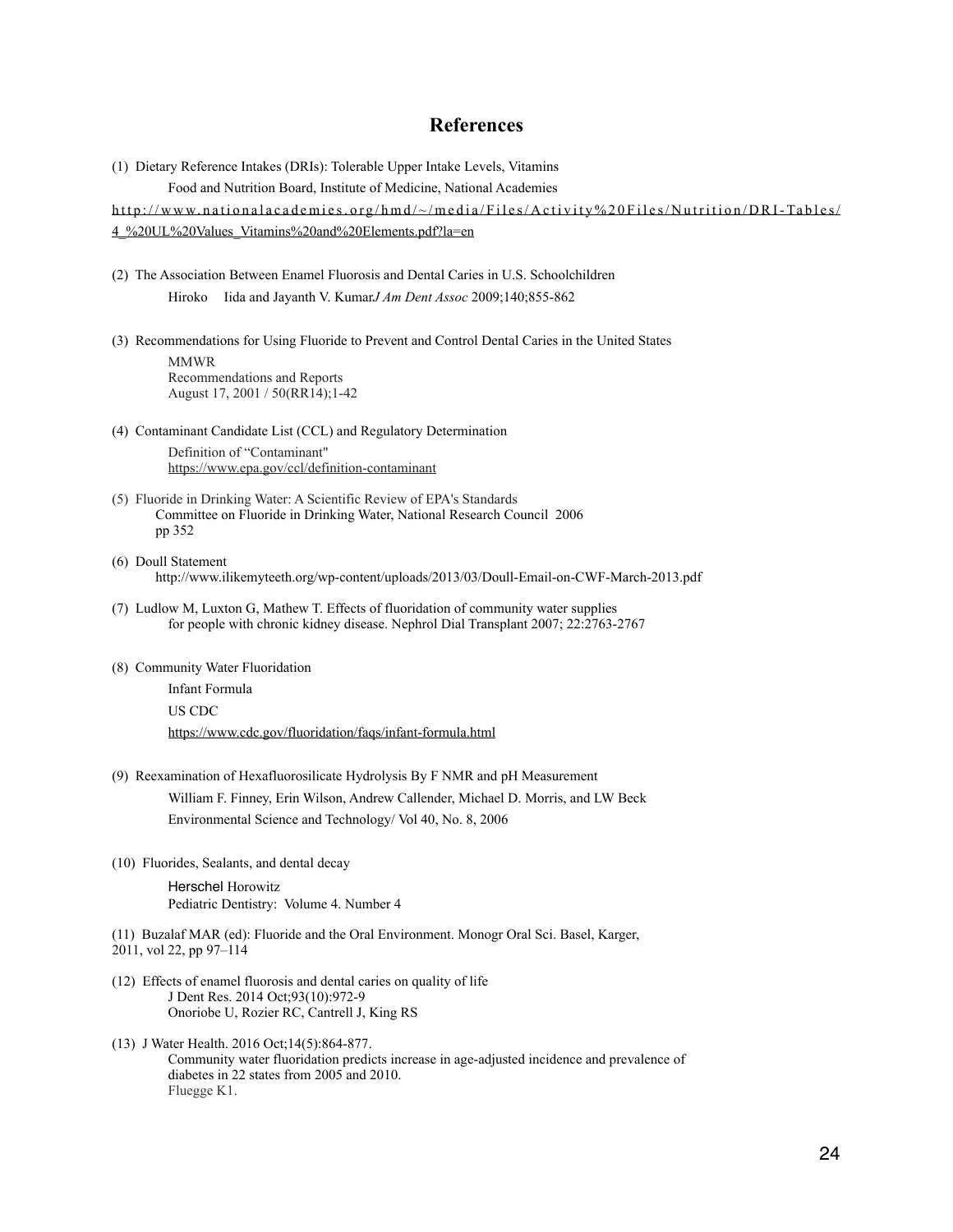## **References**

(1) Dietary Reference Intakes (DRIs): Tolerable Upper Intake Levels, Vitamins Food and Nutrition Board, Institute of Medicine, National Academies

[http://www.nationalacademies.org/hmd/~/media/Files/Activity%20Files/Nutrition/DRI-Tables/](http://www.nationalacademies.org/hmd/~/media/Files/Activity%20Files/Nutrition/DRI-Tables/4_%20UL%20Values_Vitamins%20and%20Elements.pdf?la=en) [4\\_%20UL%20Values\\_Vitamins%20and%20Elements.pdf?la=en](http://www.nationalacademies.org/hmd/~/media/Files/Activity%20Files/Nutrition/DRI-Tables/4_%20UL%20Values_Vitamins%20and%20Elements.pdf?la=en)

- (2) The Association Between Enamel Fluorosis and Dental Caries in U.S. Schoolchildren Hiroko Iida and Jayanth V. Kumar*J Am Dent Assoc* 2009;140;855-862
- (3) Recommendations for Using Fluoride to Prevent and Control Dental Caries in the United States

MMWR Recommendations and Reports August 17, 2001 / 50(RR14);1-42

(4) Contaminant Candidate List (CCL) and Regulatory Determination

 Definition of "Contaminant" <https://www.epa.gov/ccl/definition-contaminant>

- (5) Fluoride in Drinking Water: A Scientific Review of EPA's Standards Committee on Fluoride in Drinking Water, National Research Council 2006 pp 352
- (6) Doull Statement http://www.ilikemyteeth.org/wp-content/uploads/2013/03/Doull-Email-on-CWF-March-2013.pdf
- (7) Ludlow M, Luxton G, Mathew T. Effects of fluoridation of community water supplies for people with chronic kidney disease. Nephrol Dial Transplant 2007; 22:2763-2767
- (8) Community Water Fluoridation

 Infant Formula US CDC <https://www.cdc.gov/fluoridation/faqs/infant-formula.html>

(9) Reexamination of Hexafluorosilicate Hydrolysis By F NMR and pH Measurement

 William F. Finney, Erin Wilson, Andrew Callender, Michael D. Morris, and LW Beck Environmental Science and Technology/ Vol 40, No. 8, 2006

(10) Fluorides, Sealants, and dental decay

Herschel Horowitz Pediatric Dentistry: Volume 4. Number 4

(11) Buzalaf MAR (ed): Fluoride and the Oral Environment. Monogr Oral Sci. Basel, Karger, 2011, vol 22, pp 97–114

- (12) Effects of enamel fluorosis and dental caries on quality of life J Dent Res. 2014 Oct;93(10):972-9 Onoriobe U, Rozier RC, Cantrell J, King RS
- (13) J Water Health. 2016 Oct;14(5):864-877. Community water fluoridation predicts increase in age-adjusted incidence and prevalence of diabetes in 22 states from 2005 and 2010. [Fluegge K1](https://www.ncbi.nlm.nih.gov/pubmed/?term=Fluegge%20K%5BAuthor%5D&cauthor=true&cauthor_uid=27740551).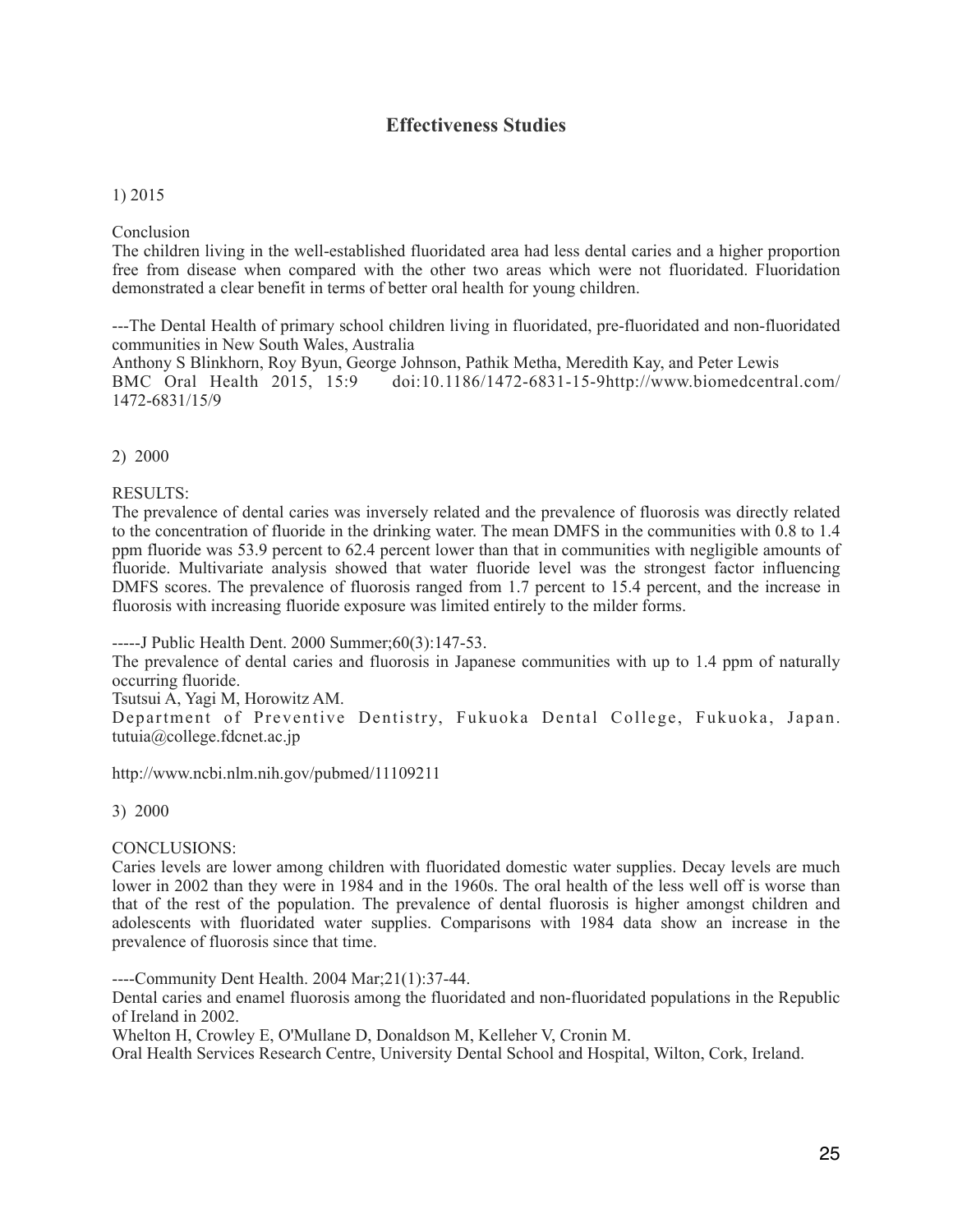# **Effectiveness Studies**

## 1) 2015

## Conclusion

The children living in the well-established fluoridated area had less dental caries and a higher proportion free from disease when compared with the other two areas which were not fluoridated. Fluoridation demonstrated a clear benefit in terms of better oral health for young children.

---The Dental Health of primary school children living in fluoridated, pre-fluoridated and non-fluoridated communities in New South Wales, Australia

Anthony S Blinkhorn, Roy Byun, George Johnson, Pathik Metha, Meredith Kay, and Peter Lewis BMC Oral Health 2015, 15:9 doi:10.1186/1472-6831-15-9http://www.biomedcentral.com/ 1472-6831/15/9

## 2) 2000

RESULTS:

The prevalence of dental caries was inversely related and the prevalence of fluorosis was directly related to the concentration of fluoride in the drinking water. The mean DMFS in the communities with 0.8 to 1.4 ppm fluoride was 53.9 percent to 62.4 percent lower than that in communities with negligible amounts of fluoride. Multivariate analysis showed that water fluoride level was the strongest factor influencing DMFS scores. The prevalence of fluorosis ranged from 1.7 percent to 15.4 percent, and the increase in fluorosis with increasing fluoride exposure was limited entirely to the milder forms.

-----J Public Health Dent. 2000 Summer;60(3):147-53.

The prevalence of dental caries and fluorosis in Japanese communities with up to 1.4 ppm of naturally occurring fluoride.

Tsutsui A, Yagi M, Horowitz AM.

Department of Preventive Dentistry, Fukuoka Dental College, Fukuoka, Japan. tutuia@college.fdcnet.ac.jp

http://www.ncbi.nlm.nih.gov/pubmed/11109211

3) 2000

## CONCLUSIONS:

Caries levels are lower among children with fluoridated domestic water supplies. Decay levels are much lower in 2002 than they were in 1984 and in the 1960s. The oral health of the less well off is worse than that of the rest of the population. The prevalence of dental fluorosis is higher amongst children and adolescents with fluoridated water supplies. Comparisons with 1984 data show an increase in the prevalence of fluorosis since that time.

----Community Dent Health. 2004 Mar;21(1):37-44.

Dental caries and enamel fluorosis among the fluoridated and non-fluoridated populations in the Republic of Ireland in 2002.

Whelton H, Crowley E, O'Mullane D, Donaldson M, Kelleher V, Cronin M.

Oral Health Services Research Centre, University Dental School and Hospital, Wilton, Cork, Ireland.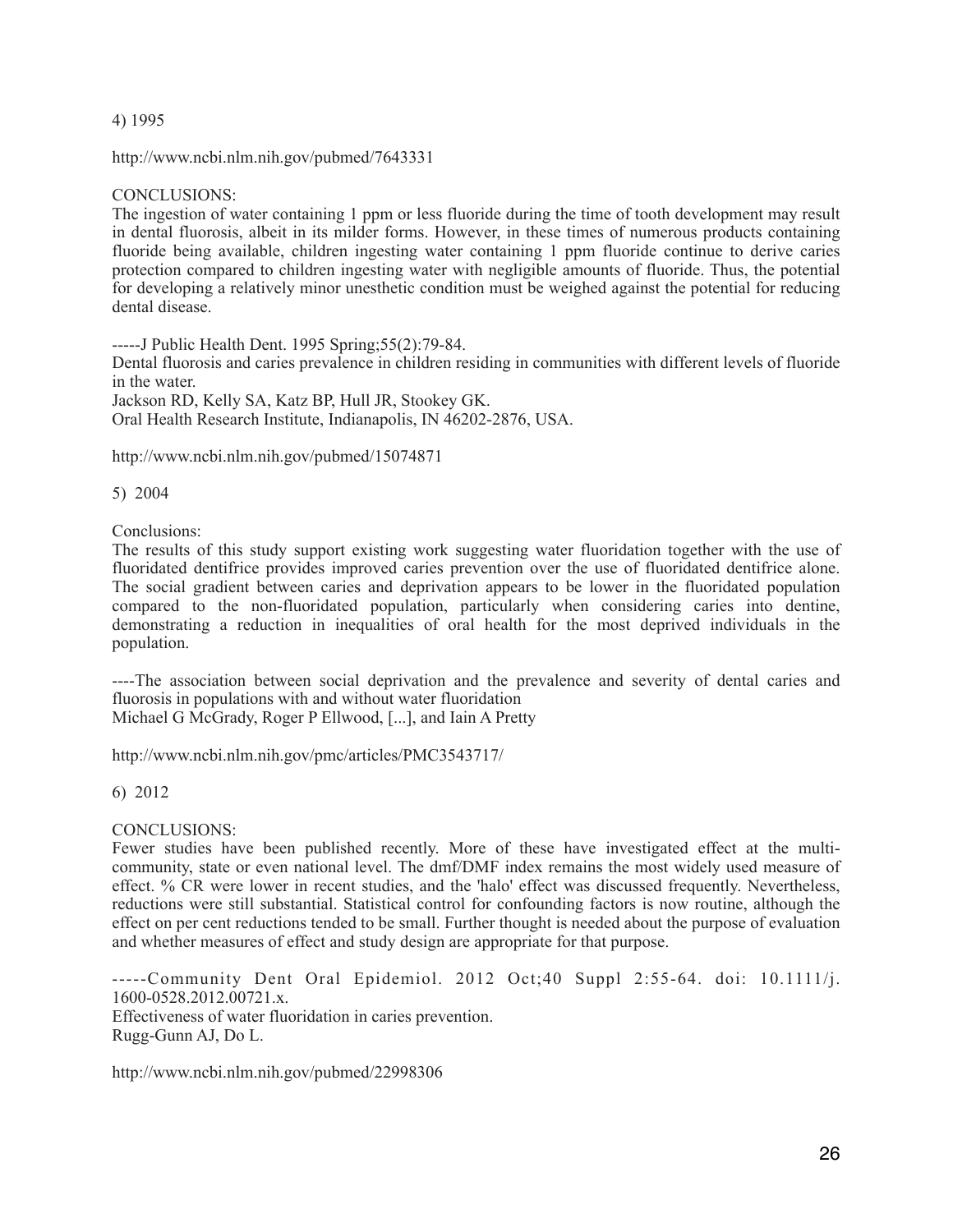## 4) 1995

http://www.ncbi.nlm.nih.gov/pubmed/7643331

## CONCLUSIONS:

The ingestion of water containing 1 ppm or less fluoride during the time of tooth development may result in dental fluorosis, albeit in its milder forms. However, in these times of numerous products containing fluoride being available, children ingesting water containing 1 ppm fluoride continue to derive caries protection compared to children ingesting water with negligible amounts of fluoride. Thus, the potential for developing a relatively minor unesthetic condition must be weighed against the potential for reducing dental disease.

-----J Public Health Dent. 1995 Spring;55(2):79-84.

Dental fluorosis and caries prevalence in children residing in communities with different levels of fluoride in the water.

Jackson RD, Kelly SA, Katz BP, Hull JR, Stookey GK. Oral Health Research Institute, Indianapolis, IN 46202-2876, USA.

http://www.ncbi.nlm.nih.gov/pubmed/15074871

5) 2004

Conclusions:

The results of this study support existing work suggesting water fluoridation together with the use of fluoridated dentifrice provides improved caries prevention over the use of fluoridated dentifrice alone. The social gradient between caries and deprivation appears to be lower in the fluoridated population compared to the non-fluoridated population, particularly when considering caries into dentine, demonstrating a reduction in inequalities of oral health for the most deprived individuals in the population.

----The association between social deprivation and the prevalence and severity of dental caries and fluorosis in populations with and without water fluoridation Michael G McGrady, Roger P Ellwood, [...], and Iain A Pretty

http://www.ncbi.nlm.nih.gov/pmc/articles/PMC3543717/

## 6) 2012

## CONCLUSIONS:

Fewer studies have been published recently. More of these have investigated effect at the multicommunity, state or even national level. The dmf/DMF index remains the most widely used measure of effect. % CR were lower in recent studies, and the 'halo' effect was discussed frequently. Nevertheless, reductions were still substantial. Statistical control for confounding factors is now routine, although the effect on per cent reductions tended to be small. Further thought is needed about the purpose of evaluation and whether measures of effect and study design are appropriate for that purpose.

-----Community Dent Oral Epidemiol. 2012 Oct;40 Suppl 2:55-64. doi: 10.1111/j. 1600-0528.2012.00721.x. Effectiveness of water fluoridation in caries prevention. Rugg-Gunn AJ, Do L.

http://www.ncbi.nlm.nih.gov/pubmed/22998306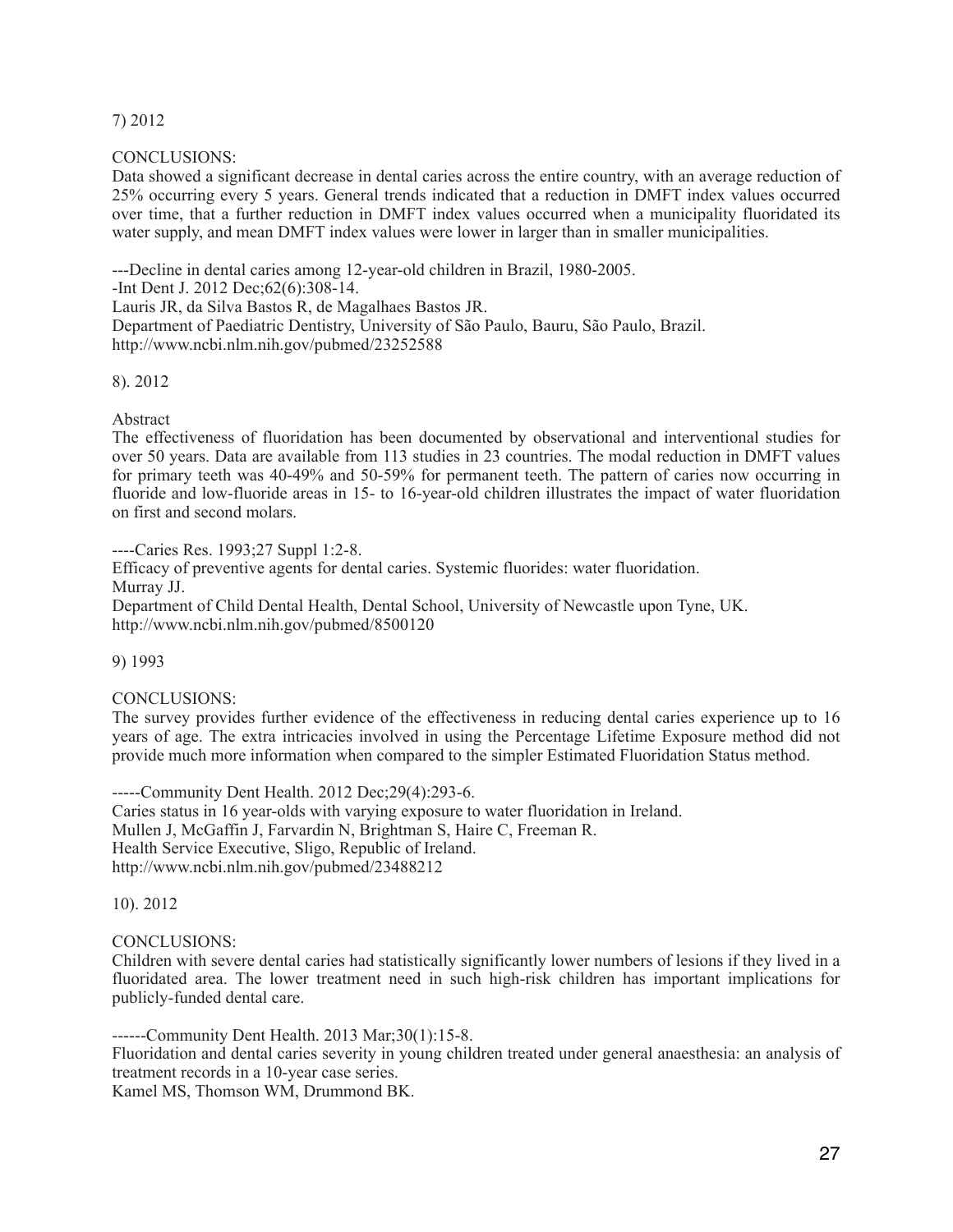# 7) 2012

## CONCLUSIONS:

Data showed a significant decrease in dental caries across the entire country, with an average reduction of 25% occurring every 5 years. General trends indicated that a reduction in DMFT index values occurred over time, that a further reduction in DMFT index values occurred when a municipality fluoridated its water supply, and mean DMFT index values were lower in larger than in smaller municipalities.

---Decline in dental caries among 12-year-old children in Brazil, 1980-2005.

-Int Dent J. 2012 Dec;62(6):308-14.

Lauris JR, da Silva Bastos R, de Magalhaes Bastos JR.

Department of Paediatric Dentistry, University of São Paulo, Bauru, São Paulo, Brazil. http://www.ncbi.nlm.nih.gov/pubmed/23252588

## 8). 2012

## Abstract

The effectiveness of fluoridation has been documented by observational and interventional studies for over 50 years. Data are available from 113 studies in 23 countries. The modal reduction in DMFT values for primary teeth was 40-49% and 50-59% for permanent teeth. The pattern of caries now occurring in fluoride and low-fluoride areas in 15- to 16-year-old children illustrates the impact of water fluoridation on first and second molars.

----Caries Res. 1993;27 Suppl 1:2-8.

Efficacy of preventive agents for dental caries. Systemic fluorides: water fluoridation. Murray JJ. Department of Child Dental Health, Dental School, University of Newcastle upon Tyne, UK.

http://www.ncbi.nlm.nih.gov/pubmed/8500120

9) 1993

# CONCLUSIONS:

The survey provides further evidence of the effectiveness in reducing dental caries experience up to 16 years of age. The extra intricacies involved in using the Percentage Lifetime Exposure method did not provide much more information when compared to the simpler Estimated Fluoridation Status method.

-----Community Dent Health. 2012 Dec;29(4):293-6. Caries status in 16 year-olds with varying exposure to water fluoridation in Ireland. Mullen J, McGaffin J, Farvardin N, Brightman S, Haire C, Freeman R. Health Service Executive, Sligo, Republic of Ireland. http://www.ncbi.nlm.nih.gov/pubmed/23488212

10). 2012

## CONCLUSIONS:

Children with severe dental caries had statistically significantly lower numbers of lesions if they lived in a fluoridated area. The lower treatment need in such high-risk children has important implications for publicly-funded dental care.

------Community Dent Health. 2013 Mar;30(1):15-8.

Fluoridation and dental caries severity in young children treated under general anaesthesia: an analysis of treatment records in a 10-year case series.

Kamel MS, Thomson WM, Drummond BK.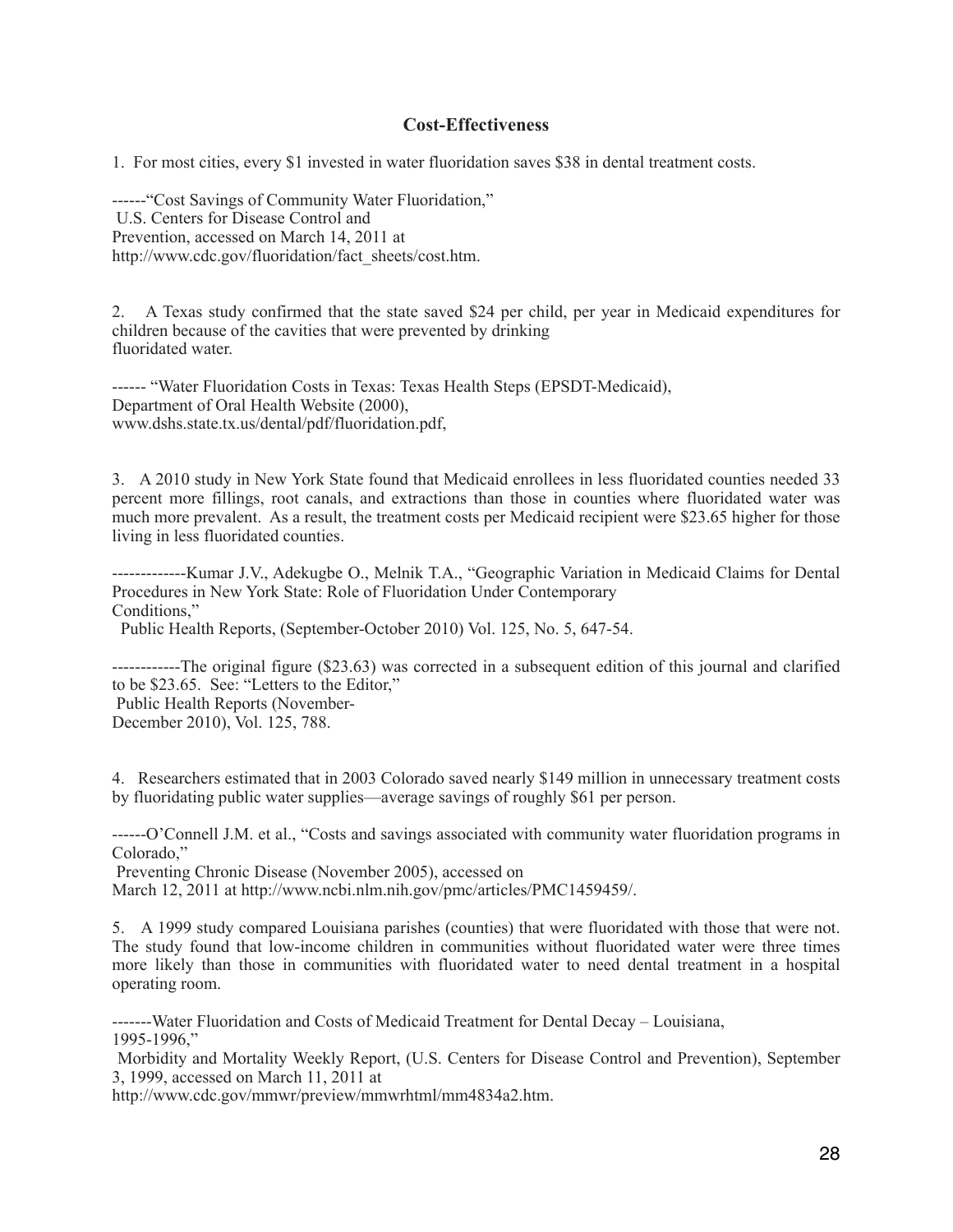## **Cost-Effectiveness**

1. For most cities, every \$1 invested in water fluoridation saves \$38 in dental treatment costs.

------"Cost Savings of Community Water Fluoridation," U.S. Centers for Disease Control and Prevention, accessed on March 14, 2011 at http://www.cdc.gov/fluoridation/fact\_sheets/cost.htm.

2. A Texas study confirmed that the state saved \$24 per child, per year in Medicaid expenditures for children because of the cavities that were prevented by drinking fluoridated water.

------ "Water Fluoridation Costs in Texas: Texas Health Steps (EPSDT-Medicaid), Department of Oral Health Website (2000), www.dshs.state.tx.us/dental/pdf/fluoridation.pdf,

3. A 2010 study in New York State found that Medicaid enrollees in less fluoridated counties needed 33 percent more fillings, root canals, and extractions than those in counties where fluoridated water was much more prevalent. As a result, the treatment costs per Medicaid recipient were \$23.65 higher for those living in less fluoridated counties.

-------------Kumar J.V., Adekugbe O., Melnik T.A., "Geographic Variation in Medicaid Claims for Dental Procedures in New York State: Role of Fluoridation Under Contemporary Conditions,"

Public Health Reports, (September-October 2010) Vol. 125, No. 5, 647-54.

------------The original figure (\$23.63) was corrected in a subsequent edition of this journal and clarified to be \$23.65. See: "Letters to the Editor," Public Health Reports (November-

December 2010), Vol. 125, 788.

4. Researchers estimated that in 2003 Colorado saved nearly \$149 million in unnecessary treatment costs by fluoridating public water supplies—average savings of roughly \$61 per person.

------O'Connell J.M. et al., "Costs and savings associated with community water fluoridation programs in Colorado,"

Preventing Chronic Disease (November 2005), accessed on

March 12, 2011 at http://www.ncbi.nlm.nih.gov/pmc/articles/PMC1459459/.

5. A 1999 study compared Louisiana parishes (counties) that were fluoridated with those that were not. The study found that low-income children in communities without fluoridated water were three times more likely than those in communities with fluoridated water to need dental treatment in a hospital operating room.

-------Water Fluoridation and Costs of Medicaid Treatment for Dental Decay – Louisiana, 1995-1996,"

 Morbidity and Mortality Weekly Report, (U.S. Centers for Disease Control and Prevention), September 3, 1999, accessed on March 11, 2011 at

http://www.cdc.gov/mmwr/preview/mmwrhtml/mm4834a2.htm.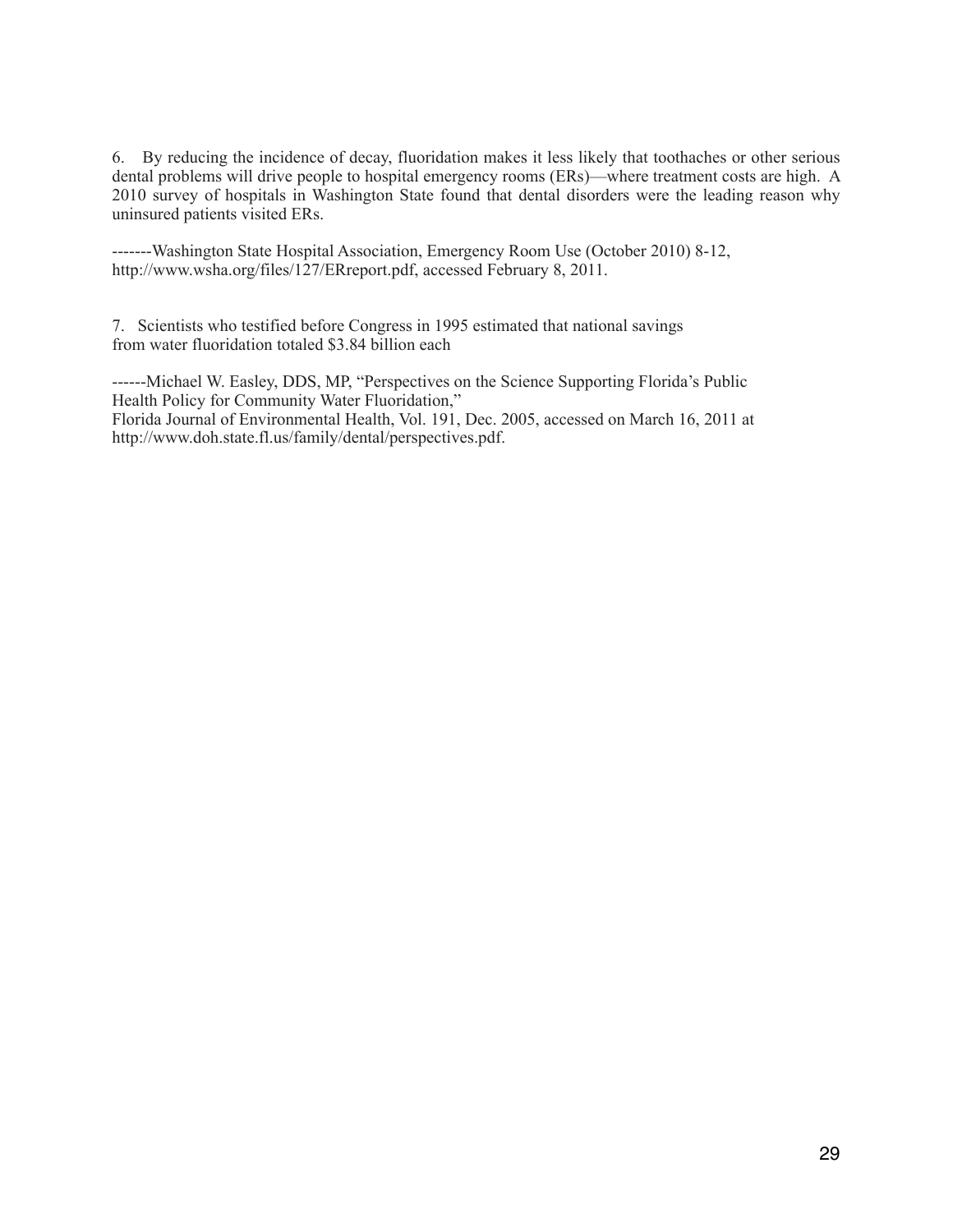6. By reducing the incidence of decay, fluoridation makes it less likely that toothaches or other serious dental problems will drive people to hospital emergency rooms (ERs)—where treatment costs are high. A 2010 survey of hospitals in Washington State found that dental disorders were the leading reason why uninsured patients visited ERs.

-------Washington State Hospital Association, Emergency Room Use (October 2010) 8-12, http://www.wsha.org/files/127/ERreport.pdf, accessed February 8, 2011.

7. Scientists who testified before Congress in 1995 estimated that national savings from water fluoridation totaled \$3.84 billion each

------Michael W. Easley, DDS, MP, "Perspectives on the Science Supporting Florida's Public Health Policy for Community Water Fluoridation," Florida Journal of Environmental Health, Vol. 191, Dec. 2005, accessed on March 16, 2011 at http://www.doh.state.fl.us/family/dental/perspectives.pdf.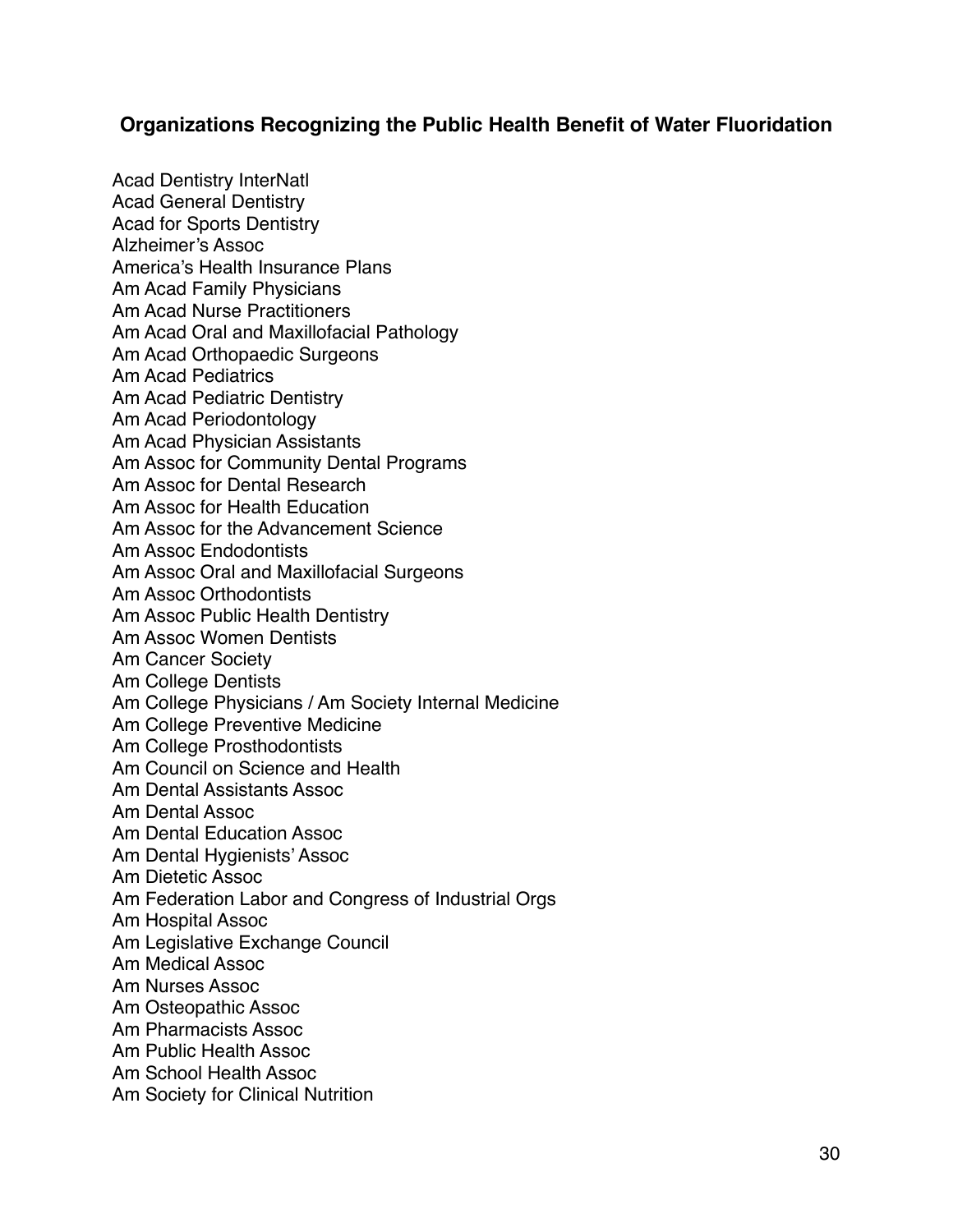# **Organizations Recognizing the Public Health Benefit of Water Fluoridation**

Acad Dentistry InterNatl Acad General Dentistry Acad for Sports Dentistry Alzheimer's Assoc America's Health Insurance Plans Am Acad Family Physicians Am Acad Nurse Practitioners Am Acad Oral and Maxillofacial Pathology Am Acad Orthopaedic Surgeons Am Acad Pediatrics Am Acad Pediatric Dentistry Am Acad Periodontology Am Acad Physician Assistants Am Assoc for Community Dental Programs Am Assoc for Dental Research Am Assoc for Health Education Am Assoc for the Advancement Science Am Assoc Endodontists Am Assoc Oral and Maxillofacial Surgeons Am Assoc Orthodontists Am Assoc Public Health Dentistry Am Assoc Women Dentists Am Cancer Society Am College Dentists Am College Physicians / Am Society Internal Medicine Am College Preventive Medicine Am College Prosthodontists Am Council on Science and Health Am Dental Assistants Assoc Am Dental Assoc Am Dental Education Assoc Am Dental Hygienists' Assoc Am Dietetic Assoc Am Federation Labor and Congress of Industrial Orgs Am Hospital Assoc Am Legislative Exchange Council Am Medical Assoc Am Nurses Assoc Am Osteopathic Assoc Am Pharmacists Assoc Am Public Health Assoc Am School Health Assoc Am Society for Clinical Nutrition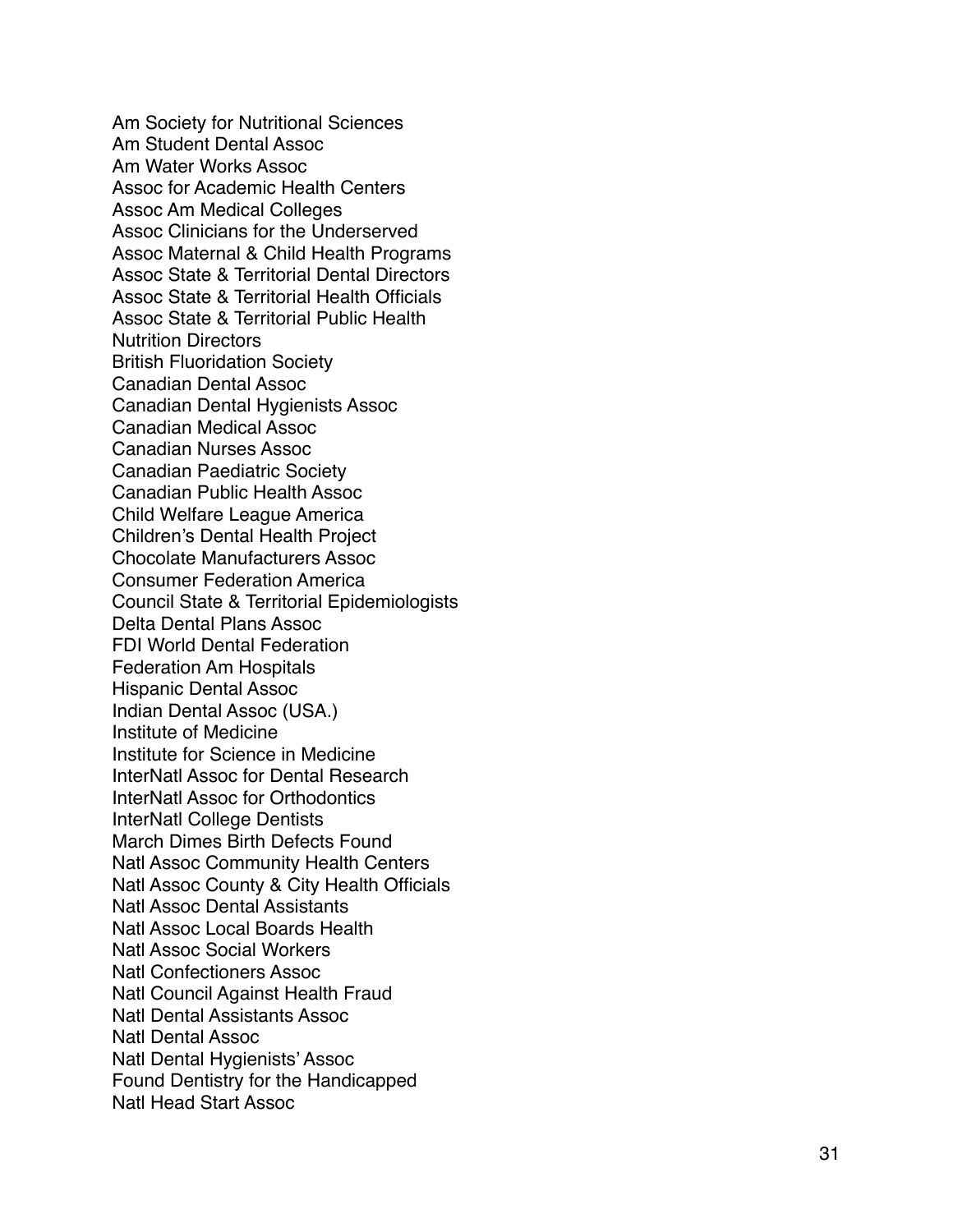Am Society for Nutritional Sciences Am Student Dental Assoc Am Water Works Assoc Assoc for Academic Health Centers Assoc Am Medical Colleges Assoc Clinicians for the Underserved Assoc Maternal & Child Health Programs Assoc State & Territorial Dental Directors Assoc State & Territorial Health Officials Assoc State & Territorial Public Health Nutrition Directors British Fluoridation Society Canadian Dental Assoc Canadian Dental Hygienists Assoc Canadian Medical Assoc Canadian Nurses Assoc Canadian Paediatric Society Canadian Public Health Assoc Child Welfare League America Children's Dental Health Project Chocolate Manufacturers Assoc Consumer Federation America Council State & Territorial Epidemiologists Delta Dental Plans Assoc FDI World Dental Federation Federation Am Hospitals Hispanic Dental Assoc Indian Dental Assoc (USA.) Institute of Medicine Institute for Science in Medicine InterNatl Assoc for Dental Research InterNatl Assoc for Orthodontics InterNatl College Dentists March Dimes Birth Defects Found Natl Assoc Community Health Centers Natl Assoc County & City Health Officials Natl Assoc Dental Assistants Natl Assoc Local Boards Health Natl Assoc Social Workers Natl Confectioners Assoc Natl Council Against Health Fraud Natl Dental Assistants Assoc Natl Dental Assoc Natl Dental Hygienists' Assoc Found Dentistry for the Handicapped Natl Head Start Assoc